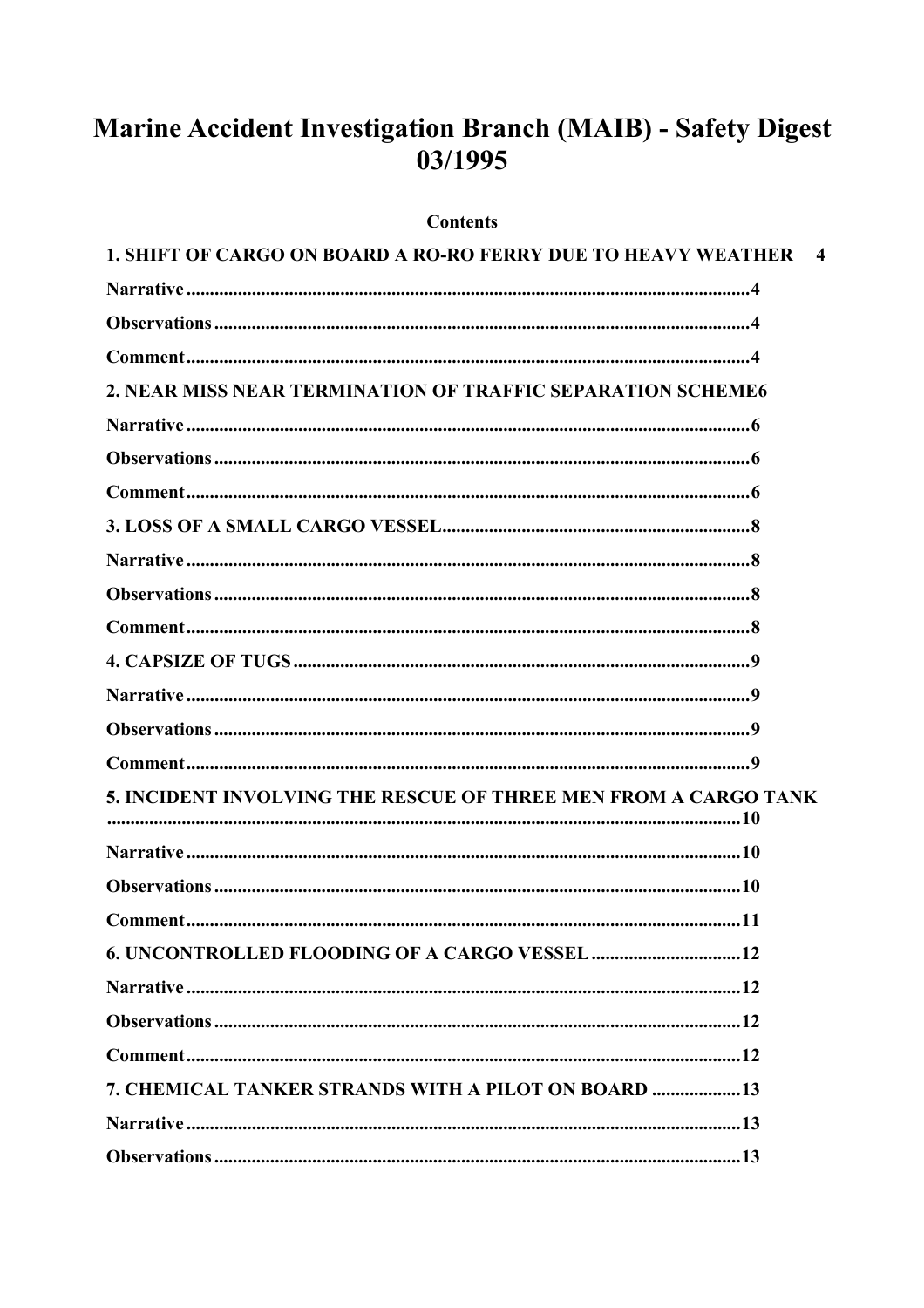# Marine Accident Investigation Branch (MAIB) - Safety Digest 03/1995

#### **Contents**

| <b>1. SHIFT OF CARGO ON BOARD A RO-RO FERRY DUE TO HEAVY WEATHER</b> | $\boldsymbol{4}$ |
|----------------------------------------------------------------------|------------------|
|                                                                      |                  |
|                                                                      |                  |
|                                                                      |                  |
| 2. NEAR MISS NEAR TERMINATION OF TRAFFIC SEPARATION SCHEME6          |                  |
|                                                                      |                  |
|                                                                      |                  |
|                                                                      |                  |
|                                                                      |                  |
|                                                                      |                  |
|                                                                      |                  |
|                                                                      |                  |
|                                                                      |                  |
|                                                                      |                  |
|                                                                      |                  |
|                                                                      |                  |
| 5. INCIDENT INVOLVING THE RESCUE OF THREE MEN FROM A CARGO TANK      |                  |
|                                                                      |                  |
|                                                                      |                  |
|                                                                      |                  |
|                                                                      |                  |
|                                                                      |                  |
|                                                                      |                  |
|                                                                      |                  |
| 7. CHEMICAL TANKER STRANDS WITH A PILOT ON BOARD  13                 |                  |
|                                                                      |                  |
|                                                                      |                  |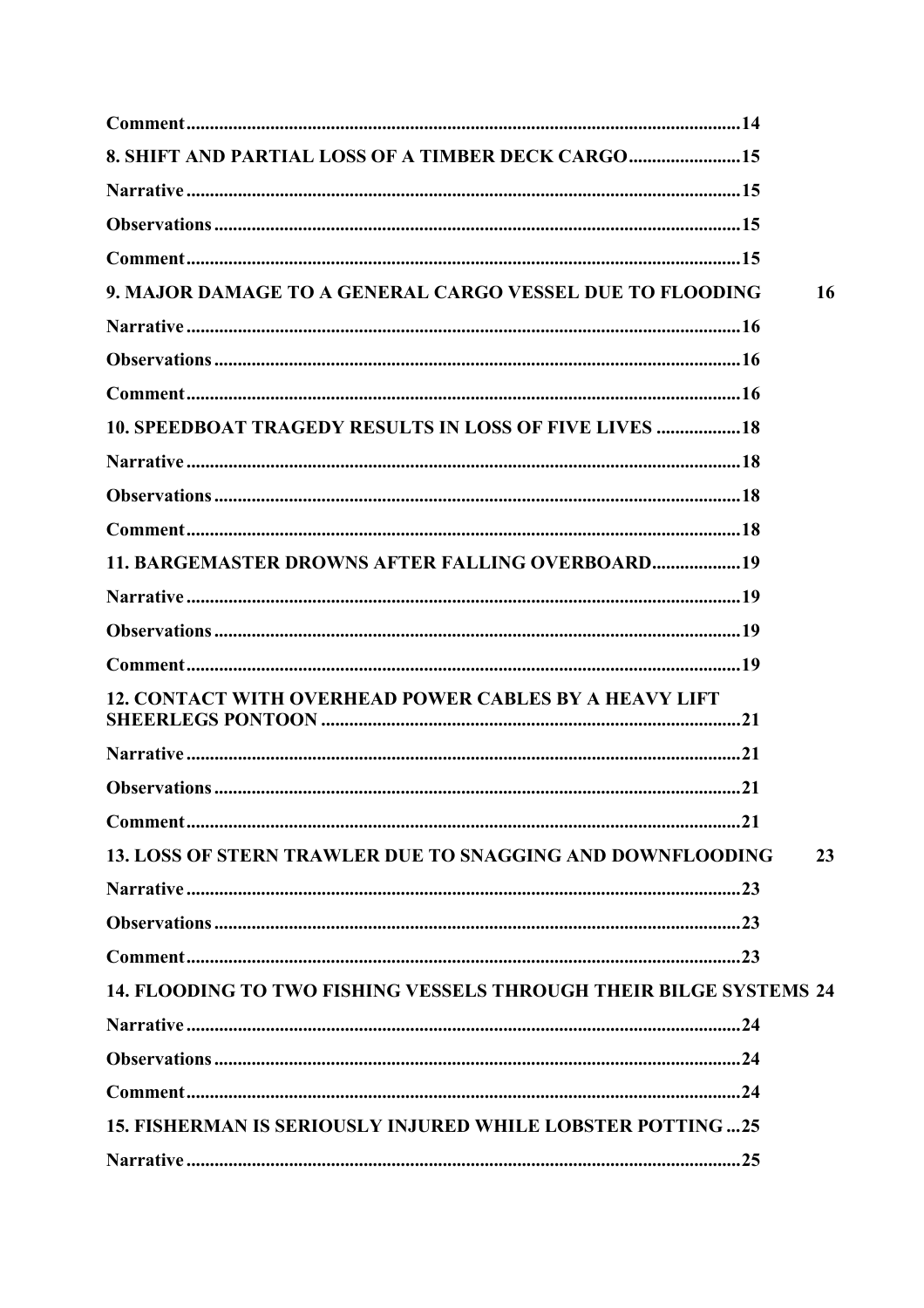| 8. SHIFT AND PARTIAL LOSS OF A TIMBER DECK CARGO15                        |    |
|---------------------------------------------------------------------------|----|
|                                                                           |    |
|                                                                           |    |
|                                                                           |    |
| 9. MAJOR DAMAGE TO A GENERAL CARGO VESSEL DUE TO FLOODING                 | 16 |
|                                                                           |    |
|                                                                           |    |
|                                                                           |    |
| <b>10. SPEEDBOAT TRAGEDY RESULTS IN LOSS OF FIVE LIVES  18</b>            |    |
|                                                                           |    |
|                                                                           |    |
|                                                                           |    |
| 11. BARGEMASTER DROWNS AFTER FALLING OVERBOARD19                          |    |
|                                                                           |    |
|                                                                           |    |
|                                                                           |    |
| <b>12. CONTACT WITH OVERHEAD POWER CABLES BY A HEAVY LIFT</b>             |    |
|                                                                           |    |
|                                                                           |    |
|                                                                           |    |
| 13. LOSS OF STERN TRAWLER DUE TO SNAGGING AND DOWNFLOODING                | 23 |
|                                                                           |    |
|                                                                           |    |
|                                                                           |    |
| <b>14. FLOODING TO TWO FISHING VESSELS THROUGH THEIR BILGE SYSTEMS 24</b> |    |
|                                                                           |    |
|                                                                           |    |
|                                                                           |    |
| <b>15. FISHERMAN IS SERIOUSLY INJURED WHILE LOBSTER POTTING 25</b>        |    |
|                                                                           |    |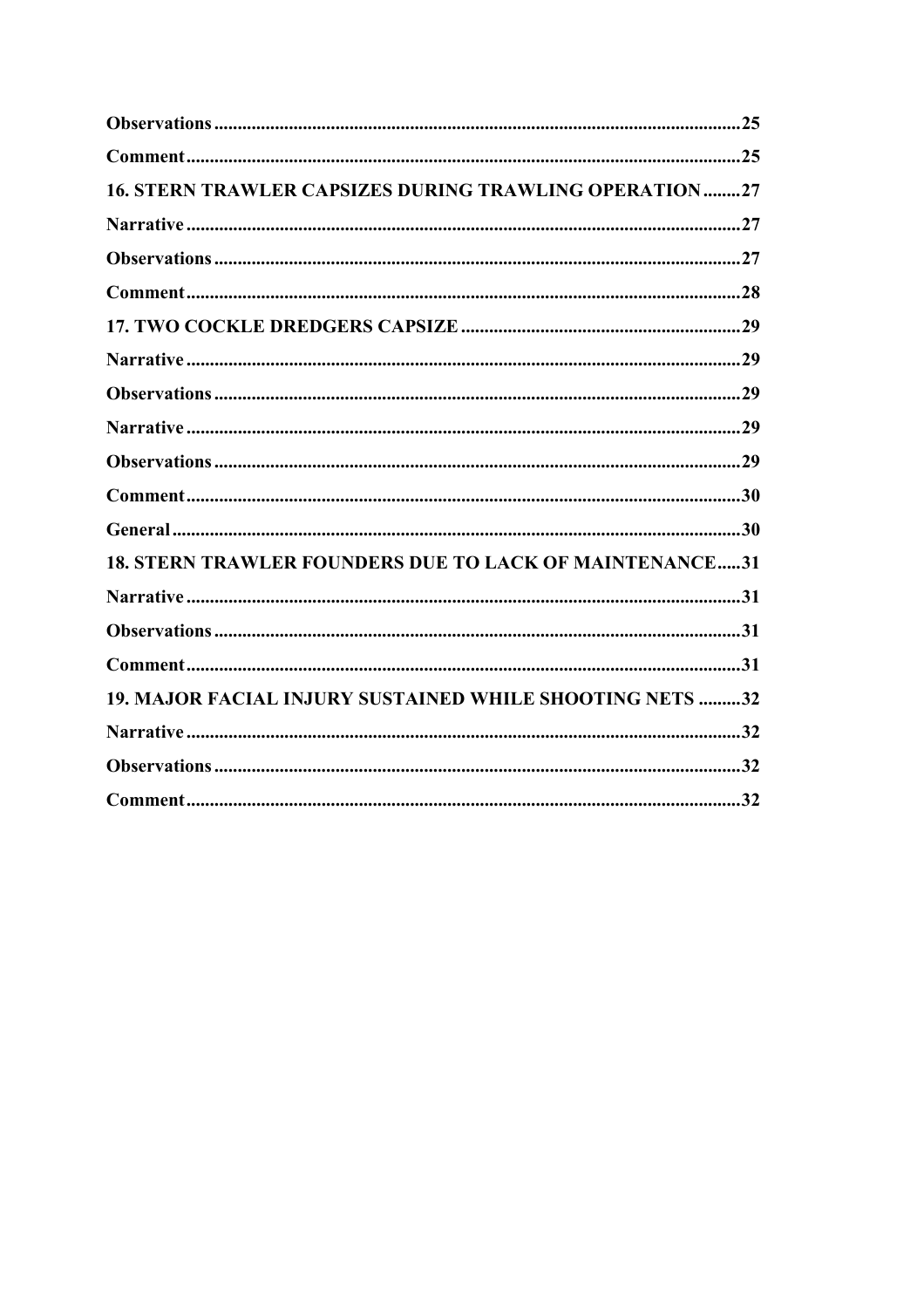| <b>16. STERN TRAWLER CAPSIZES DURING TRAWLING OPERATION27</b>  |  |
|----------------------------------------------------------------|--|
|                                                                |  |
|                                                                |  |
|                                                                |  |
|                                                                |  |
|                                                                |  |
|                                                                |  |
|                                                                |  |
|                                                                |  |
|                                                                |  |
|                                                                |  |
| <b>18. STERN TRAWLER FOUNDERS DUE TO LACK OF MAINTENANCE31</b> |  |
|                                                                |  |
|                                                                |  |
|                                                                |  |
| 19. MAJOR FACIAL INJURY SUSTAINED WHILE SHOOTING NETS 32       |  |
|                                                                |  |
|                                                                |  |
|                                                                |  |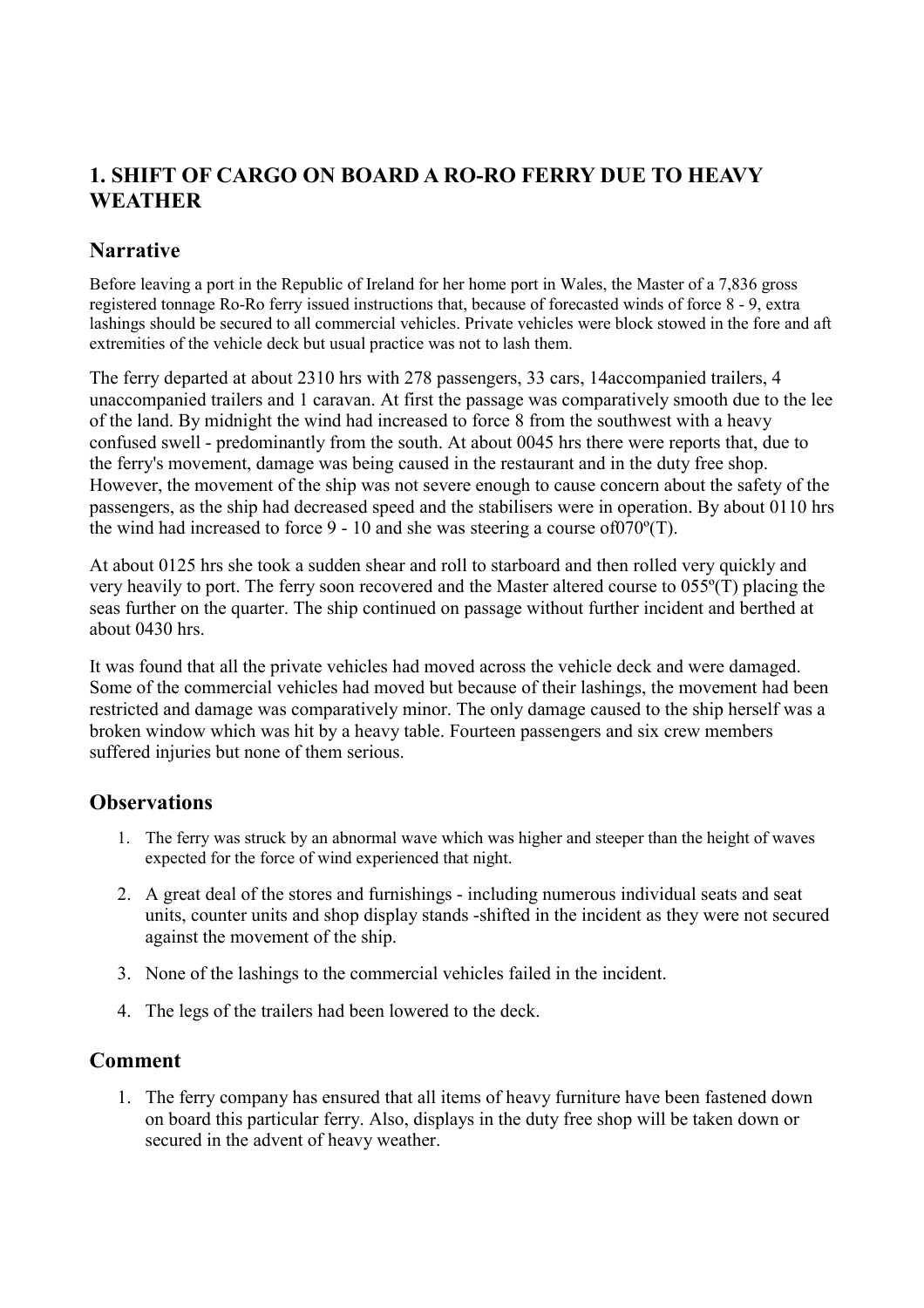## <span id="page-3-0"></span>**1. SHIFT OF CARGO ON BOARD A RO-RO FERRY DUE TO HEAVY WEATHER**

## **Narrative**

Before leaving a port in the Republic of Ireland for her home port in Wales, the Master of a 7,836 gross registered tonnage Ro-Ro ferry issued instructions that, because of forecasted winds of force 8 - 9, extra lashings should be secured to all commercial vehicles. Private vehicles were block stowed in the fore and aft extremities of the vehicle deck but usual practice was not to lash them.

The ferry departed at about 2310 hrs with 278 passengers, 33 cars, 14accompanied trailers, 4 unaccompanied trailers and 1 caravan. At first the passage was comparatively smooth due to the lee of the land. By midnight the wind had increased to force 8 from the southwest with a heavy confused swell - predominantly from the south. At about 0045 hrs there were reports that, due to the ferry's movement, damage was being caused in the restaurant and in the duty free shop. However, the movement of the ship was not severe enough to cause concern about the safety of the passengers, as the ship had decreased speed and the stabilisers were in operation. By about 0110 hrs the wind had increased to force  $9 - 10$  and she was steering a course of  $070^{\circ}$ (T).

At about 0125 hrs she took a sudden shear and roll to starboard and then rolled very quickly and very heavily to port. The ferry soon recovered and the Master altered course to 055º(T) placing the seas further on the quarter. The ship continued on passage without further incident and berthed at about 0430 hrs.

It was found that all the private vehicles had moved across the vehicle deck and were damaged. Some of the commercial vehicles had moved but because of their lashings, the movement had been restricted and damage was comparatively minor. The only damage caused to the ship herself was a broken window which was hit by a heavy table. Fourteen passengers and six crew members suffered injuries but none of them serious.

### **Observations**

- 1. The ferry was struck by an abnormal wave which was higher and steeper than the height of waves expected for the force of wind experienced that night.
- 2. A great deal of the stores and furnishings including numerous individual seats and seat units, counter units and shop display stands -shifted in the incident as they were not secured against the movement of the ship.
- 3. None of the lashings to the commercial vehicles failed in the incident.
- 4. The legs of the trailers had been lowered to the deck.

### **Comment**

1. The ferry company has ensured that all items of heavy furniture have been fastened down on board this particular ferry. Also, displays in the duty free shop will be taken down or secured in the advent of heavy weather.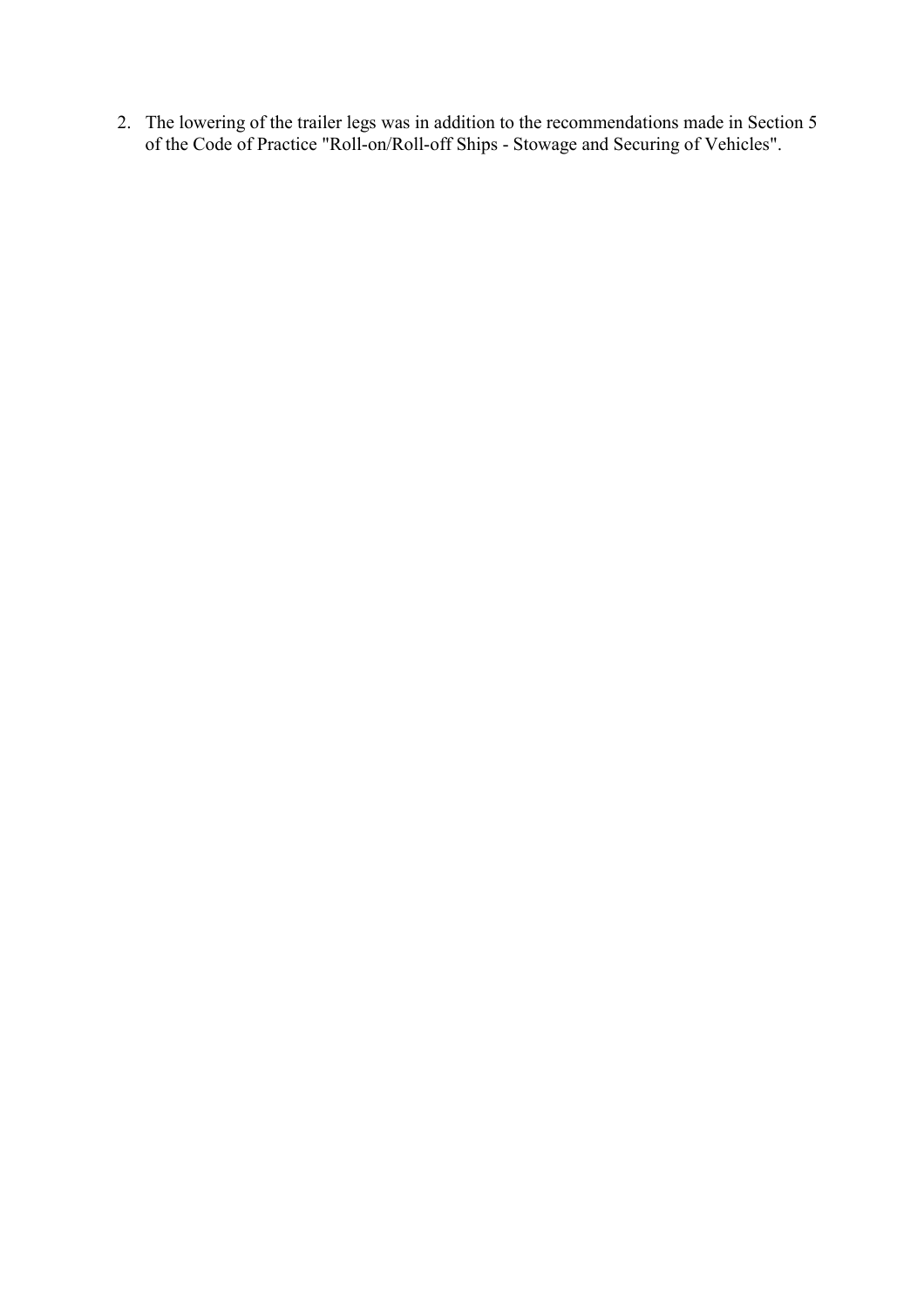2. The lowering of the trailer legs was in addition to the recommendations made in Section 5 of the Code of Practice "Roll-on/Roll-off Ships - Stowage and Securing of Vehicles".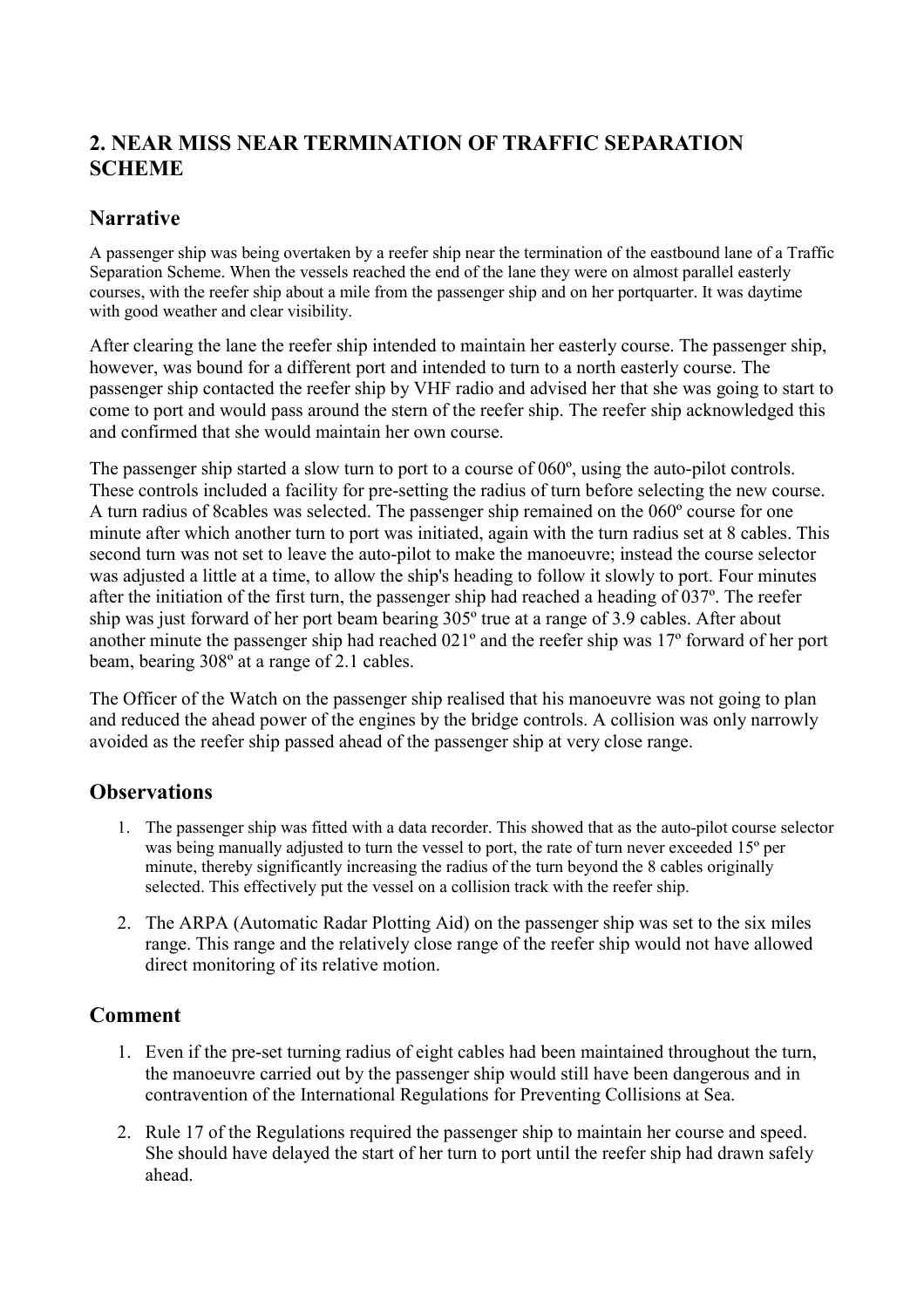## <span id="page-5-0"></span>**2. NEAR MISS NEAR TERMINATION OF TRAFFIC SEPARATION SCHEME**

### **Narrative**

A passenger ship was being overtaken by a reefer ship near the termination of the eastbound lane of a Traffic Separation Scheme. When the vessels reached the end of the lane they were on almost parallel easterly courses, with the reefer ship about a mile from the passenger ship and on her portquarter. It was daytime with good weather and clear visibility.

After clearing the lane the reefer ship intended to maintain her easterly course. The passenger ship, however, was bound for a different port and intended to turn to a north easterly course. The passenger ship contacted the reefer ship by VHF radio and advised her that she was going to start to come to port and would pass around the stern of the reefer ship. The reefer ship acknowledged this and confirmed that she would maintain her own course.

The passenger ship started a slow turn to port to a course of 060<sup>°</sup>, using the auto-pilot controls. These controls included a facility for pre-setting the radius of turn before selecting the new course. A turn radius of 8cables was selected. The passenger ship remained on the 060º course for one minute after which another turn to port was initiated, again with the turn radius set at 8 cables. This second turn was not set to leave the auto-pilot to make the manoeuvre; instead the course selector was adjusted a little at a time, to allow the ship's heading to follow it slowly to port. Four minutes after the initiation of the first turn, the passenger ship had reached a heading of 037º. The reefer ship was just forward of her port beam bearing 305º true at a range of 3.9 cables. After about another minute the passenger ship had reached 021º and the reefer ship was 17º forward of her port beam, bearing 308º at a range of 2.1 cables.

The Officer of the Watch on the passenger ship realised that his manoeuvre was not going to plan and reduced the ahead power of the engines by the bridge controls. A collision was only narrowly avoided as the reefer ship passed ahead of the passenger ship at very close range.

### **Observations**

- 1. The passenger ship was fitted with a data recorder. This showed that as the auto-pilot course selector was being manually adjusted to turn the vessel to port, the rate of turn never exceeded 15º per minute, thereby significantly increasing the radius of the turn beyond the 8 cables originally selected. This effectively put the vessel on a collision track with the reefer ship.
- 2. The ARPA (Automatic Radar Plotting Aid) on the passenger ship was set to the six miles range. This range and the relatively close range of the reefer ship would not have allowed direct monitoring of its relative motion.

- 1. Even if the pre-set turning radius of eight cables had been maintained throughout the turn, the manoeuvre carried out by the passenger ship would still have been dangerous and in contravention of the International Regulations for Preventing Collisions at Sea.
- 2. Rule 17 of the Regulations required the passenger ship to maintain her course and speed. She should have delayed the start of her turn to port until the reefer ship had drawn safely ahead.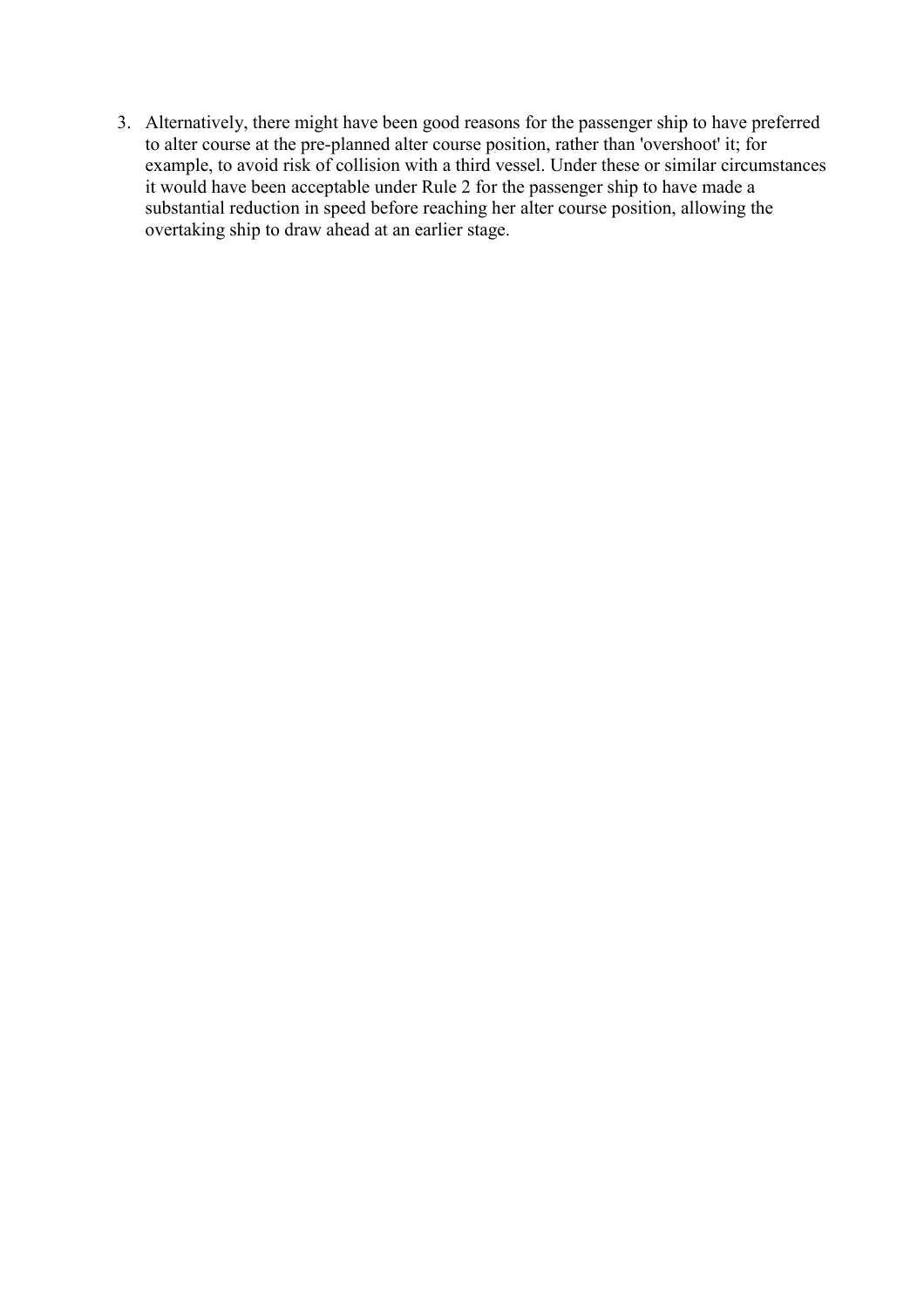3. Alternatively, there might have been good reasons for the passenger ship to have preferred to alter course at the pre-planned alter course position, rather than 'overshoot' it; for example, to avoid risk of collision with a third vessel. Under these or similar circumstances it would have been acceptable under Rule 2 for the passenger ship to have made a substantial reduction in speed before reaching her alter course position, allowing the overtaking ship to draw ahead at an earlier stage.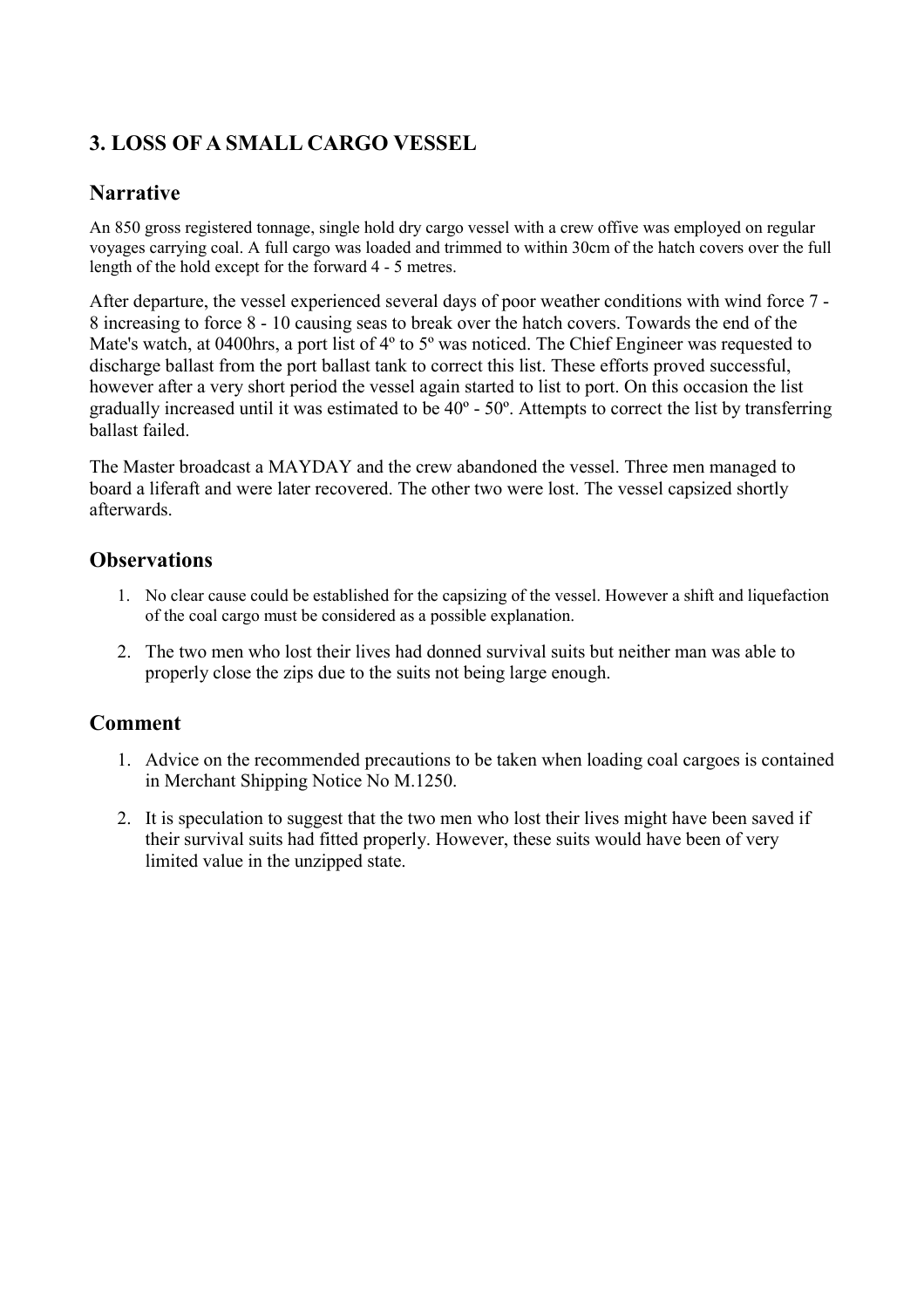## <span id="page-7-0"></span>**3. LOSS OF A SMALL CARGO VESSEL**

### **Narrative**

An 850 gross registered tonnage, single hold dry cargo vessel with a crew offive was employed on regular voyages carrying coal. A full cargo was loaded and trimmed to within 30cm of the hatch covers over the full length of the hold except for the forward 4 - 5 metres.

After departure, the vessel experienced several days of poor weather conditions with wind force 7 - 8 increasing to force 8 - 10 causing seas to break over the hatch covers. Towards the end of the Mate's watch, at 0400hrs, a port list of 4<sup>°</sup> to 5<sup>°</sup> was noticed. The Chief Engineer was requested to discharge ballast from the port ballast tank to correct this list. These efforts proved successful, however after a very short period the vessel again started to list to port. On this occasion the list gradually increased until it was estimated to be 40º - 50º. Attempts to correct the list by transferring ballast failed.

The Master broadcast a MAYDAY and the crew abandoned the vessel. Three men managed to board a liferaft and were later recovered. The other two were lost. The vessel capsized shortly afterwards.

#### **Observations**

- 1. No clear cause could be established for the capsizing of the vessel. However a shift and liquefaction of the coal cargo must be considered as a possible explanation.
- 2. The two men who lost their lives had donned survival suits but neither man was able to properly close the zips due to the suits not being large enough.

- 1. Advice on the recommended precautions to be taken when loading coal cargoes is contained in Merchant Shipping Notice No M.1250.
- 2. It is speculation to suggest that the two men who lost their lives might have been saved if their survival suits had fitted properly. However, these suits would have been of very limited value in the unzipped state.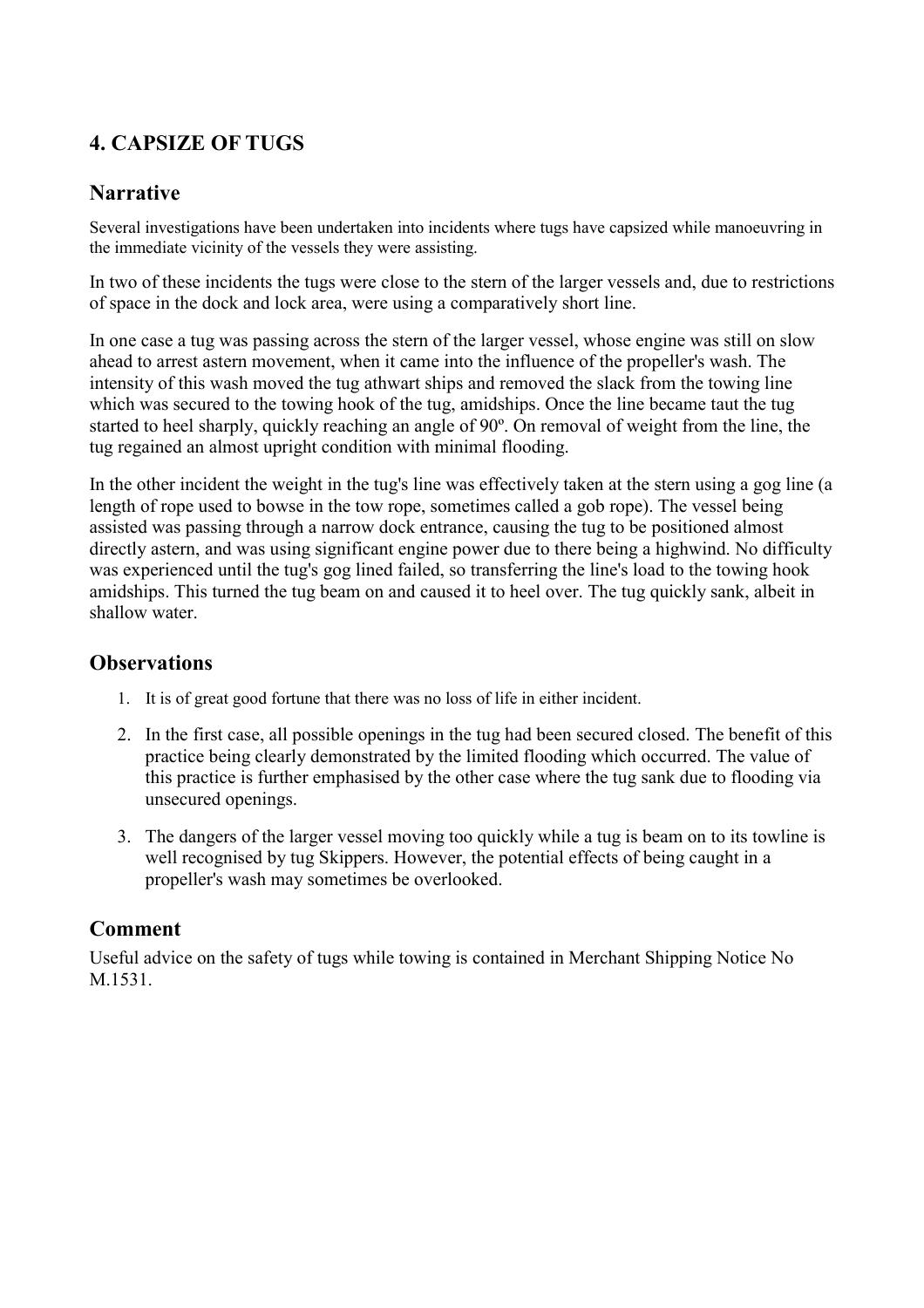## <span id="page-8-0"></span>**4. CAPSIZE OF TUGS**

### **Narrative**

Several investigations have been undertaken into incidents where tugs have capsized while manoeuvring in the immediate vicinity of the vessels they were assisting.

In two of these incidents the tugs were close to the stern of the larger vessels and, due to restrictions of space in the dock and lock area, were using a comparatively short line.

In one case a tug was passing across the stern of the larger vessel, whose engine was still on slow ahead to arrest astern movement, when it came into the influence of the propeller's wash. The intensity of this wash moved the tug athwart ships and removed the slack from the towing line which was secured to the towing hook of the tug, amidships. Once the line became taut the tug started to heel sharply, quickly reaching an angle of 90º. On removal of weight from the line, the tug regained an almost upright condition with minimal flooding.

In the other incident the weight in the tug's line was effectively taken at the stern using a gog line (a length of rope used to bowse in the tow rope, sometimes called a gob rope). The vessel being assisted was passing through a narrow dock entrance, causing the tug to be positioned almost directly astern, and was using significant engine power due to there being a highwind. No difficulty was experienced until the tug's gog lined failed, so transferring the line's load to the towing hook amidships. This turned the tug beam on and caused it to heel over. The tug quickly sank, albeit in shallow water.

### **Observations**

- 1. It is of great good fortune that there was no loss of life in either incident.
- 2. In the first case, all possible openings in the tug had been secured closed. The benefit of this practice being clearly demonstrated by the limited flooding which occurred. The value of this practice is further emphasised by the other case where the tug sank due to flooding via unsecured openings.
- 3. The dangers of the larger vessel moving too quickly while a tug is beam on to its towline is well recognised by tug Skippers. However, the potential effects of being caught in a propeller's wash may sometimes be overlooked.

#### **Comment**

Useful advice on the safety of tugs while towing is contained in Merchant Shipping Notice No M.1531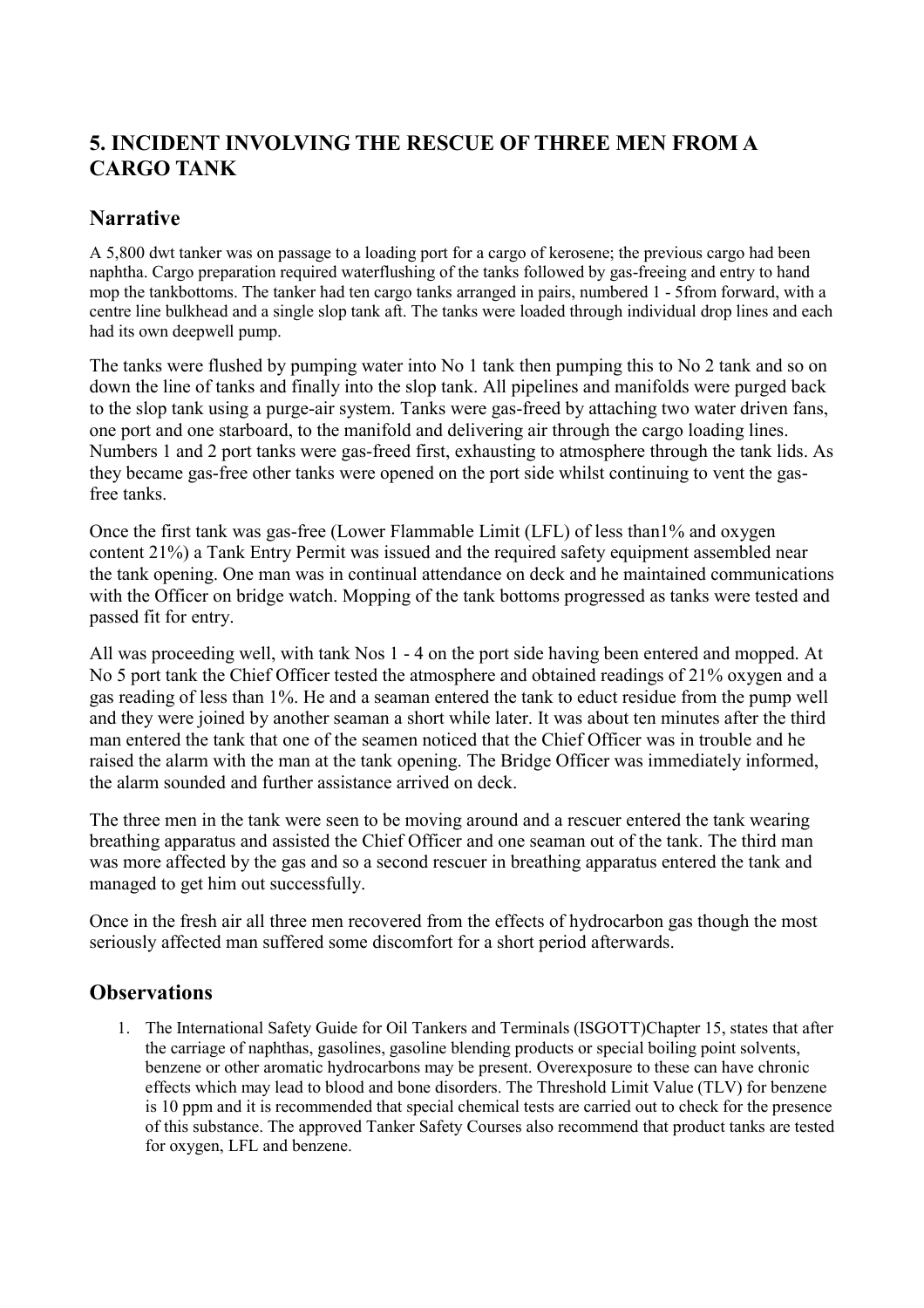## <span id="page-9-0"></span>**5. INCIDENT INVOLVING THE RESCUE OF THREE MEN FROM A CARGO TANK**

### **Narrative**

A 5,800 dwt tanker was on passage to a loading port for a cargo of kerosene; the previous cargo had been naphtha. Cargo preparation required waterflushing of the tanks followed by gas-freeing and entry to hand mop the tankbottoms. The tanker had ten cargo tanks arranged in pairs, numbered 1 - 5from forward, with a centre line bulkhead and a single slop tank aft. The tanks were loaded through individual drop lines and each had its own deepwell pump.

The tanks were flushed by pumping water into No 1 tank then pumping this to No 2 tank and so on down the line of tanks and finally into the slop tank. All pipelines and manifolds were purged back to the slop tank using a purge-air system. Tanks were gas-freed by attaching two water driven fans, one port and one starboard, to the manifold and delivering air through the cargo loading lines. Numbers 1 and 2 port tanks were gas-freed first, exhausting to atmosphere through the tank lids. As they became gas-free other tanks were opened on the port side whilst continuing to vent the gasfree tanks.

Once the first tank was gas-free (Lower Flammable Limit (LFL) of less than1% and oxygen content 21%) a Tank Entry Permit was issued and the required safety equipment assembled near the tank opening. One man was in continual attendance on deck and he maintained communications with the Officer on bridge watch. Mopping of the tank bottoms progressed as tanks were tested and passed fit for entry.

All was proceeding well, with tank Nos 1 - 4 on the port side having been entered and mopped. At No 5 port tank the Chief Officer tested the atmosphere and obtained readings of 21% oxygen and a gas reading of less than 1%. He and a seaman entered the tank to educt residue from the pump well and they were joined by another seaman a short while later. It was about ten minutes after the third man entered the tank that one of the seamen noticed that the Chief Officer was in trouble and he raised the alarm with the man at the tank opening. The Bridge Officer was immediately informed, the alarm sounded and further assistance arrived on deck.

The three men in the tank were seen to be moving around and a rescuer entered the tank wearing breathing apparatus and assisted the Chief Officer and one seaman out of the tank. The third man was more affected by the gas and so a second rescuer in breathing apparatus entered the tank and managed to get him out successfully.

Once in the fresh air all three men recovered from the effects of hydrocarbon gas though the most seriously affected man suffered some discomfort for a short period afterwards.

### **Observations**

1. The International Safety Guide for Oil Tankers and Terminals (ISGOTT)Chapter 15, states that after the carriage of naphthas, gasolines, gasoline blending products or special boiling point solvents, benzene or other aromatic hydrocarbons may be present. Overexposure to these can have chronic effects which may lead to blood and bone disorders. The Threshold Limit Value (TLV) for benzene is 10 ppm and it is recommended that special chemical tests are carried out to check for the presence of this substance. The approved Tanker Safety Courses also recommend that product tanks are tested for oxygen, LFL and benzene.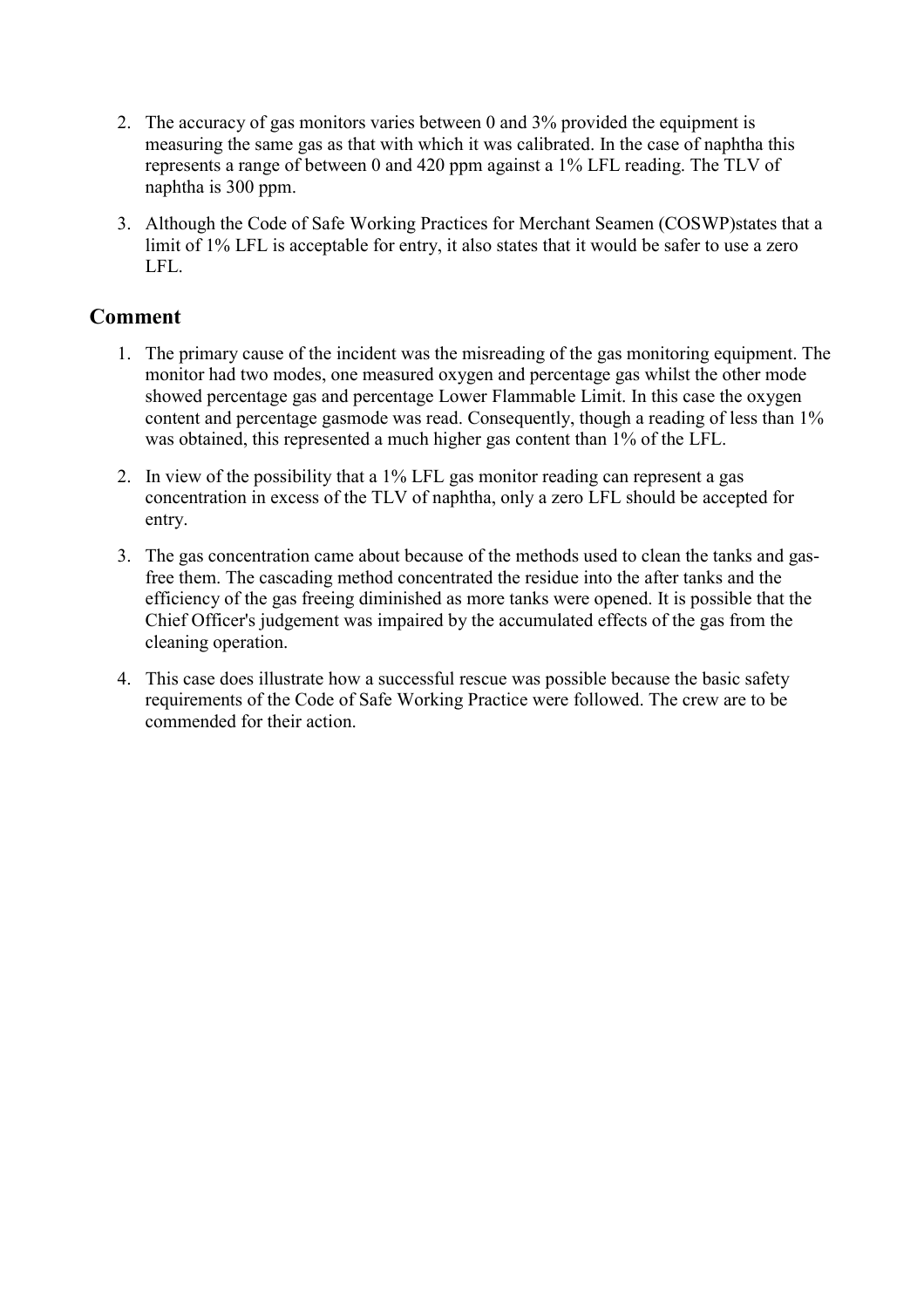- <span id="page-10-0"></span>2. The accuracy of gas monitors varies between 0 and 3% provided the equipment is measuring the same gas as that with which it was calibrated. In the case of naphtha this represents a range of between 0 and 420 ppm against a 1% LFL reading. The TLV of naphtha is 300 ppm.
- 3. Although the Code of Safe Working Practices for Merchant Seamen (COSWP)states that a limit of 1% LFL is acceptable for entry, it also states that it would be safer to use a zero LFL.

- 1. The primary cause of the incident was the misreading of the gas monitoring equipment. The monitor had two modes, one measured oxygen and percentage gas whilst the other mode showed percentage gas and percentage Lower Flammable Limit. In this case the oxygen content and percentage gasmode was read. Consequently, though a reading of less than 1% was obtained, this represented a much higher gas content than 1% of the LFL.
- 2. In view of the possibility that a 1% LFL gas monitor reading can represent a gas concentration in excess of the TLV of naphtha, only a zero LFL should be accepted for entry.
- 3. The gas concentration came about because of the methods used to clean the tanks and gasfree them. The cascading method concentrated the residue into the after tanks and the efficiency of the gas freeing diminished as more tanks were opened. It is possible that the Chief Officer's judgement was impaired by the accumulated effects of the gas from the cleaning operation.
- 4. This case does illustrate how a successful rescue was possible because the basic safety requirements of the Code of Safe Working Practice were followed. The crew are to be commended for their action.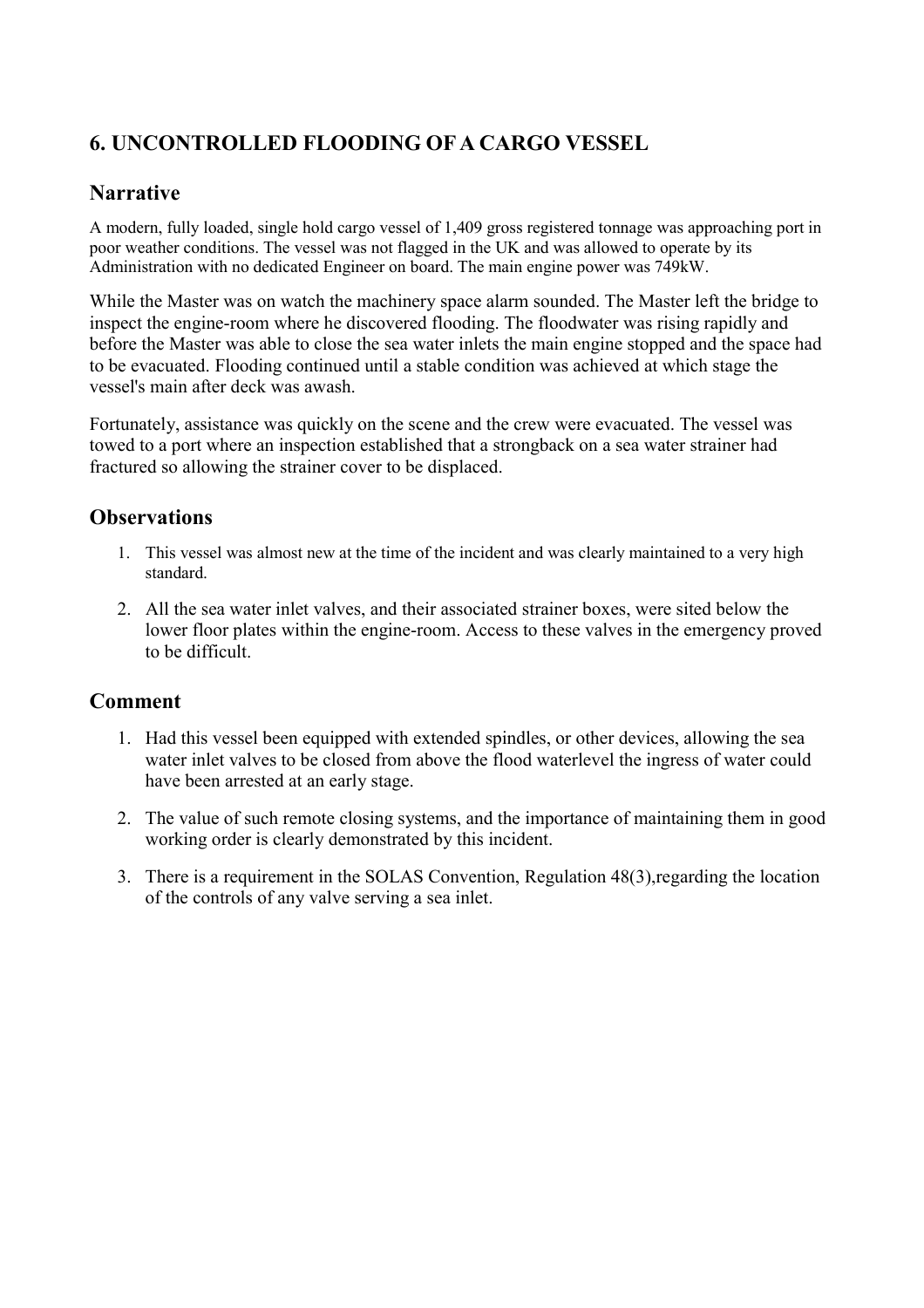## <span id="page-11-0"></span>**6. UNCONTROLLED FLOODING OF A CARGO VESSEL**

### **Narrative**

A modern, fully loaded, single hold cargo vessel of 1,409 gross registered tonnage was approaching port in poor weather conditions. The vessel was not flagged in the UK and was allowed to operate by its Administration with no dedicated Engineer on board. The main engine power was 749kW.

While the Master was on watch the machinery space alarm sounded. The Master left the bridge to inspect the engine-room where he discovered flooding. The floodwater was rising rapidly and before the Master was able to close the sea water inlets the main engine stopped and the space had to be evacuated. Flooding continued until a stable condition was achieved at which stage the vessel's main after deck was awash.

Fortunately, assistance was quickly on the scene and the crew were evacuated. The vessel was towed to a port where an inspection established that a strongback on a sea water strainer had fractured so allowing the strainer cover to be displaced.

### **Observations**

- 1. This vessel was almost new at the time of the incident and was clearly maintained to a very high standard.
- 2. All the sea water inlet valves, and their associated strainer boxes, were sited below the lower floor plates within the engine-room. Access to these valves in the emergency proved to be difficult.

- 1. Had this vessel been equipped with extended spindles, or other devices, allowing the sea water inlet valves to be closed from above the flood waterlevel the ingress of water could have been arrested at an early stage.
- 2. The value of such remote closing systems, and the importance of maintaining them in good working order is clearly demonstrated by this incident.
- 3. There is a requirement in the SOLAS Convention, Regulation 48(3),regarding the location of the controls of any valve serving a sea inlet.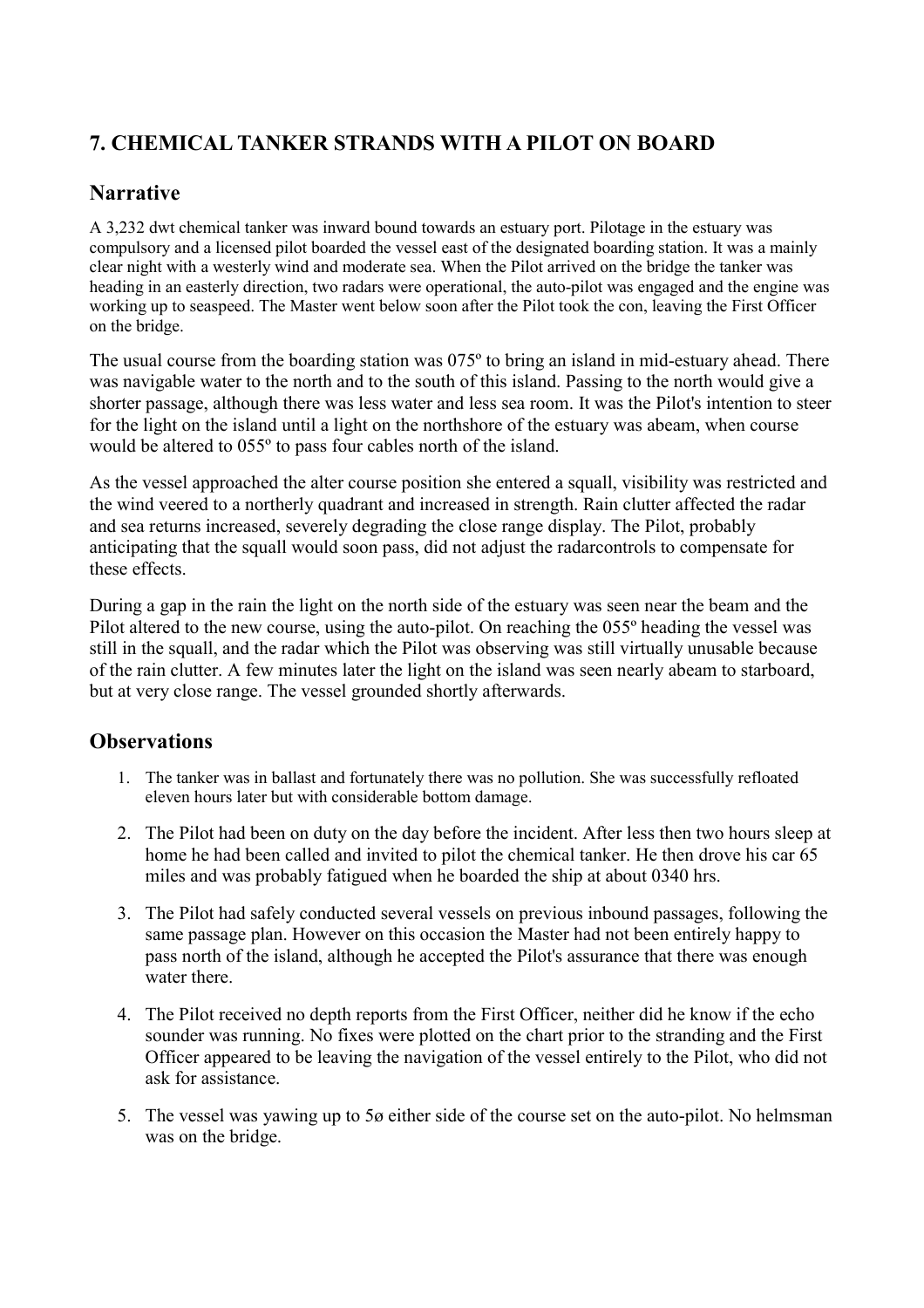## <span id="page-12-0"></span>**7. CHEMICAL TANKER STRANDS WITH A PILOT ON BOARD**

### **Narrative**

A 3,232 dwt chemical tanker was inward bound towards an estuary port. Pilotage in the estuary was compulsory and a licensed pilot boarded the vessel east of the designated boarding station. It was a mainly clear night with a westerly wind and moderate sea. When the Pilot arrived on the bridge the tanker was heading in an easterly direction, two radars were operational, the auto-pilot was engaged and the engine was working up to seaspeed. The Master went below soon after the Pilot took the con, leaving the First Officer on the bridge.

The usual course from the boarding station was 075º to bring an island in mid-estuary ahead. There was navigable water to the north and to the south of this island. Passing to the north would give a shorter passage, although there was less water and less sea room. It was the Pilot's intention to steer for the light on the island until a light on the northshore of the estuary was abeam, when course would be altered to 055º to pass four cables north of the island.

As the vessel approached the alter course position she entered a squall, visibility was restricted and the wind veered to a northerly quadrant and increased in strength. Rain clutter affected the radar and sea returns increased, severely degrading the close range display. The Pilot, probably anticipating that the squall would soon pass, did not adjust the radarcontrols to compensate for these effects.

During a gap in the rain the light on the north side of the estuary was seen near the beam and the Pilot altered to the new course, using the auto-pilot. On reaching the 055º heading the vessel was still in the squall, and the radar which the Pilot was observing was still virtually unusable because of the rain clutter. A few minutes later the light on the island was seen nearly abeam to starboard, but at very close range. The vessel grounded shortly afterwards.

### **Observations**

- 1. The tanker was in ballast and fortunately there was no pollution. She was successfully refloated eleven hours later but with considerable bottom damage.
- 2. The Pilot had been on duty on the day before the incident. After less then two hours sleep at home he had been called and invited to pilot the chemical tanker. He then drove his car 65 miles and was probably fatigued when he boarded the ship at about 0340 hrs.
- 3. The Pilot had safely conducted several vessels on previous inbound passages, following the same passage plan. However on this occasion the Master had not been entirely happy to pass north of the island, although he accepted the Pilot's assurance that there was enough water there.
- 4. The Pilot received no depth reports from the First Officer, neither did he know if the echo sounder was running. No fixes were plotted on the chart prior to the stranding and the First Officer appeared to be leaving the navigation of the vessel entirely to the Pilot, who did not ask for assistance.
- 5. The vessel was yawing up to 5ø either side of the course set on the auto-pilot. No helmsman was on the bridge.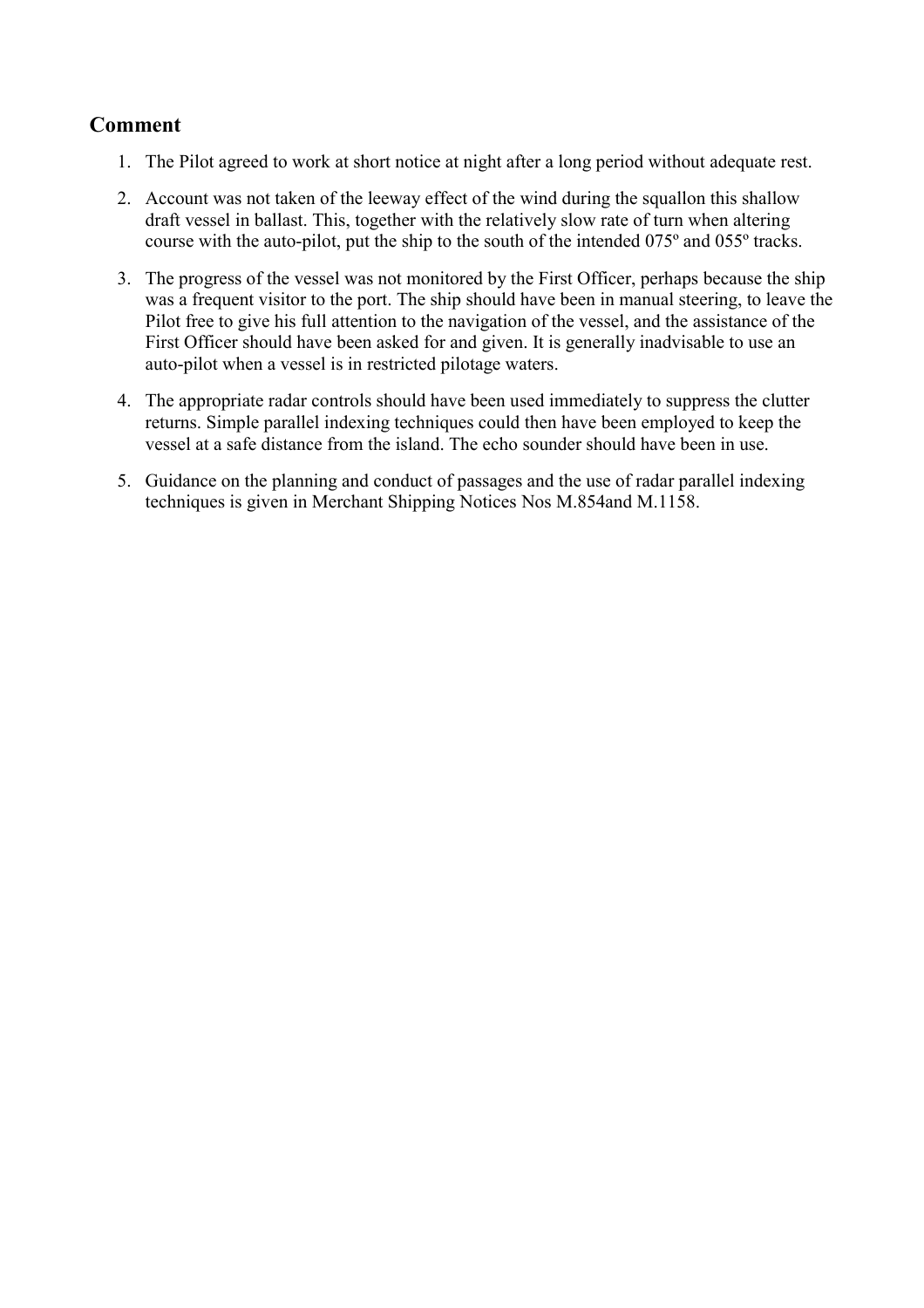- <span id="page-13-0"></span>1. The Pilot agreed to work at short notice at night after a long period without adequate rest.
- 2. Account was not taken of the leeway effect of the wind during the squallon this shallow draft vessel in ballast. This, together with the relatively slow rate of turn when altering course with the auto-pilot, put the ship to the south of the intended 075º and 055º tracks.
- 3. The progress of the vessel was not monitored by the First Officer, perhaps because the ship was a frequent visitor to the port. The ship should have been in manual steering, to leave the Pilot free to give his full attention to the navigation of the vessel, and the assistance of the First Officer should have been asked for and given. It is generally inadvisable to use an auto-pilot when a vessel is in restricted pilotage waters.
- 4. The appropriate radar controls should have been used immediately to suppress the clutter returns. Simple parallel indexing techniques could then have been employed to keep the vessel at a safe distance from the island. The echo sounder should have been in use.
- 5. Guidance on the planning and conduct of passages and the use of radar parallel indexing techniques is given in Merchant Shipping Notices Nos M.854and M.1158.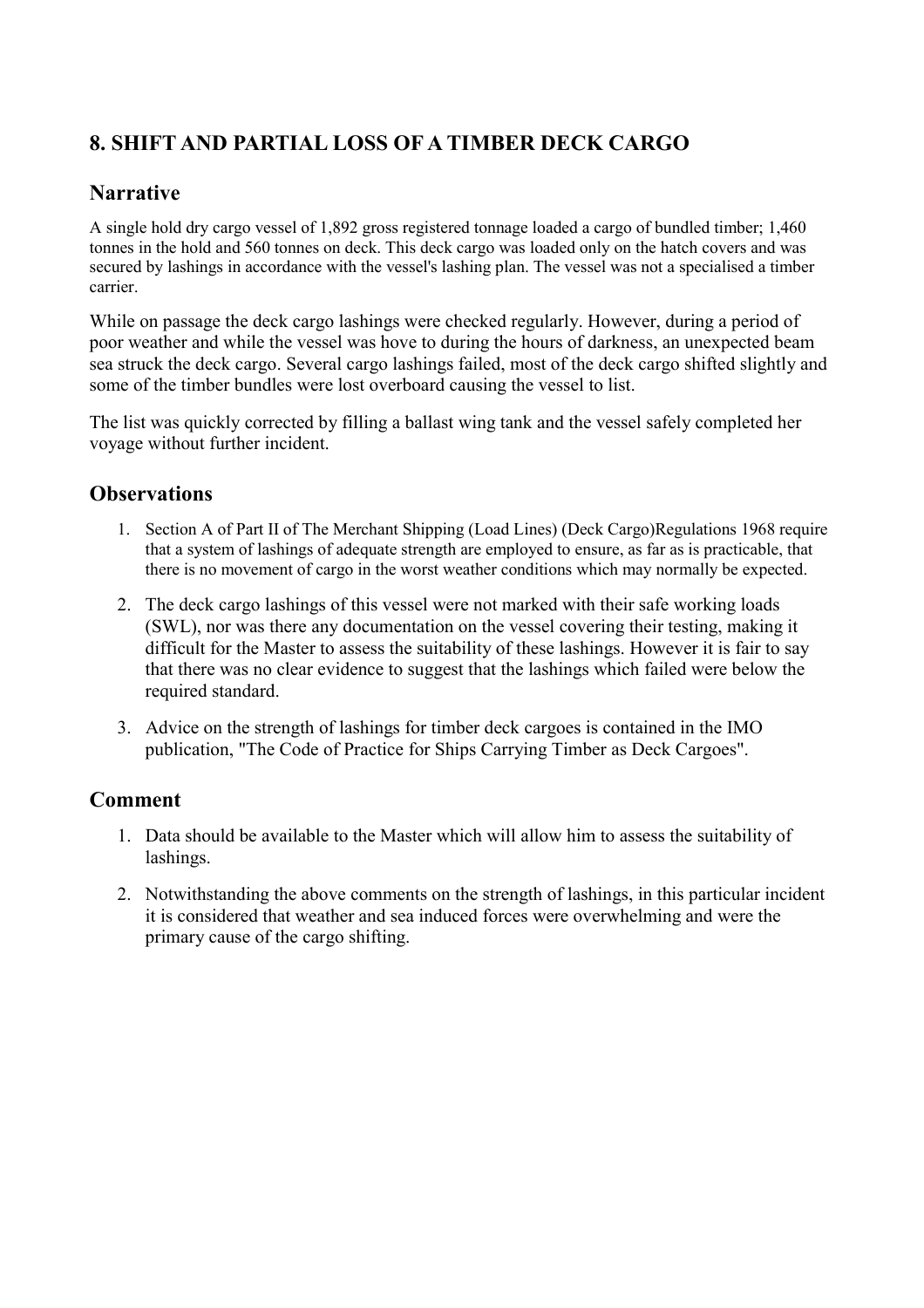## <span id="page-14-0"></span>**8. SHIFT AND PARTIAL LOSS OF A TIMBER DECK CARGO**

### **Narrative**

A single hold dry cargo vessel of 1,892 gross registered tonnage loaded a cargo of bundled timber; 1,460 tonnes in the hold and 560 tonnes on deck. This deck cargo was loaded only on the hatch covers and was secured by lashings in accordance with the vessel's lashing plan. The vessel was not a specialised a timber carrier.

While on passage the deck cargo lashings were checked regularly. However, during a period of poor weather and while the vessel was hove to during the hours of darkness, an unexpected beam sea struck the deck cargo. Several cargo lashings failed, most of the deck cargo shifted slightly and some of the timber bundles were lost overboard causing the vessel to list.

The list was quickly corrected by filling a ballast wing tank and the vessel safely completed her voyage without further incident.

### **Observations**

- 1. Section A of Part II of The Merchant Shipping (Load Lines) (Deck Cargo)Regulations 1968 require that a system of lashings of adequate strength are employed to ensure, as far as is practicable, that there is no movement of cargo in the worst weather conditions which may normally be expected.
- 2. The deck cargo lashings of this vessel were not marked with their safe working loads (SWL), nor was there any documentation on the vessel covering their testing, making it difficult for the Master to assess the suitability of these lashings. However it is fair to say that there was no clear evidence to suggest that the lashings which failed were below the required standard.
- 3. Advice on the strength of lashings for timber deck cargoes is contained in the IMO publication, "The Code of Practice for Ships Carrying Timber as Deck Cargoes".

- 1. Data should be available to the Master which will allow him to assess the suitability of lashings.
- 2. Notwithstanding the above comments on the strength of lashings, in this particular incident it is considered that weather and sea induced forces were overwhelming and were the primary cause of the cargo shifting.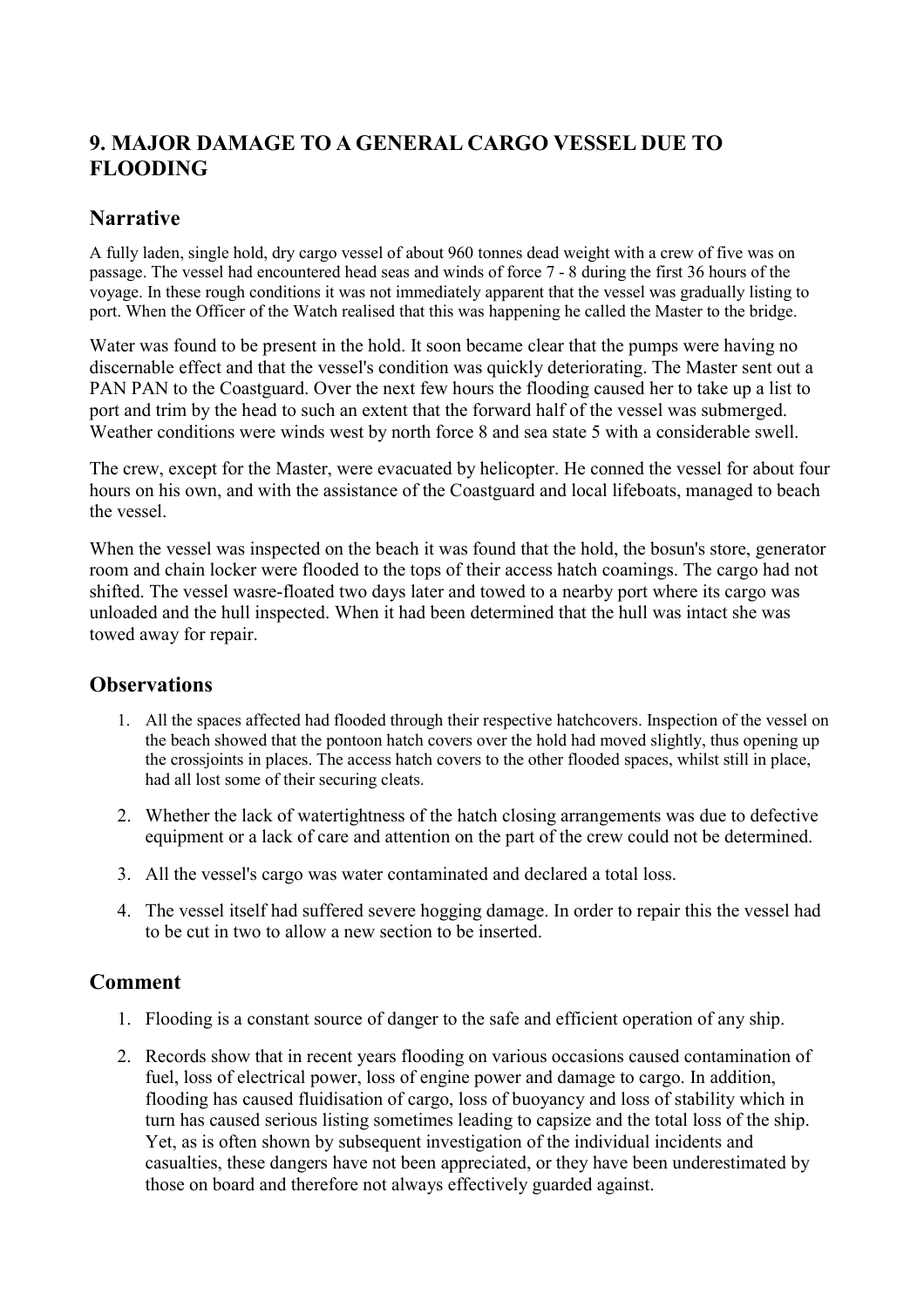## <span id="page-15-0"></span>**9. MAJOR DAMAGE TO A GENERAL CARGO VESSEL DUE TO FLOODING**

#### **Narrative**

A fully laden, single hold, dry cargo vessel of about 960 tonnes dead weight with a crew of five was on passage. The vessel had encountered head seas and winds of force 7 - 8 during the first 36 hours of the voyage. In these rough conditions it was not immediately apparent that the vessel was gradually listing to port. When the Officer of the Watch realised that this was happening he called the Master to the bridge.

Water was found to be present in the hold. It soon became clear that the pumps were having no discernable effect and that the vessel's condition was quickly deteriorating. The Master sent out a PAN PAN to the Coastguard. Over the next few hours the flooding caused her to take up a list to port and trim by the head to such an extent that the forward half of the vessel was submerged. Weather conditions were winds west by north force 8 and sea state 5 with a considerable swell.

The crew, except for the Master, were evacuated by helicopter. He conned the vessel for about four hours on his own, and with the assistance of the Coastguard and local lifeboats, managed to beach the vessel.

When the vessel was inspected on the beach it was found that the hold, the bosun's store, generator room and chain locker were flooded to the tops of their access hatch coamings. The cargo had not shifted. The vessel wasre-floated two days later and towed to a nearby port where its cargo was unloaded and the hull inspected. When it had been determined that the hull was intact she was towed away for repair.

#### **Observations**

- 1. All the spaces affected had flooded through their respective hatchcovers. Inspection of the vessel on the beach showed that the pontoon hatch covers over the hold had moved slightly, thus opening up the crossjoints in places. The access hatch covers to the other flooded spaces, whilst still in place, had all lost some of their securing cleats.
- 2. Whether the lack of watertightness of the hatch closing arrangements was due to defective equipment or a lack of care and attention on the part of the crew could not be determined.
- 3. All the vessel's cargo was water contaminated and declared a total loss.
- 4. The vessel itself had suffered severe hogging damage. In order to repair this the vessel had to be cut in two to allow a new section to be inserted.

- 1. Flooding is a constant source of danger to the safe and efficient operation of any ship.
- 2. Records show that in recent years flooding on various occasions caused contamination of fuel, loss of electrical power, loss of engine power and damage to cargo. In addition, flooding has caused fluidisation of cargo, loss of buoyancy and loss of stability which in turn has caused serious listing sometimes leading to capsize and the total loss of the ship. Yet, as is often shown by subsequent investigation of the individual incidents and casualties, these dangers have not been appreciated, or they have been underestimated by those on board and therefore not always effectively guarded against.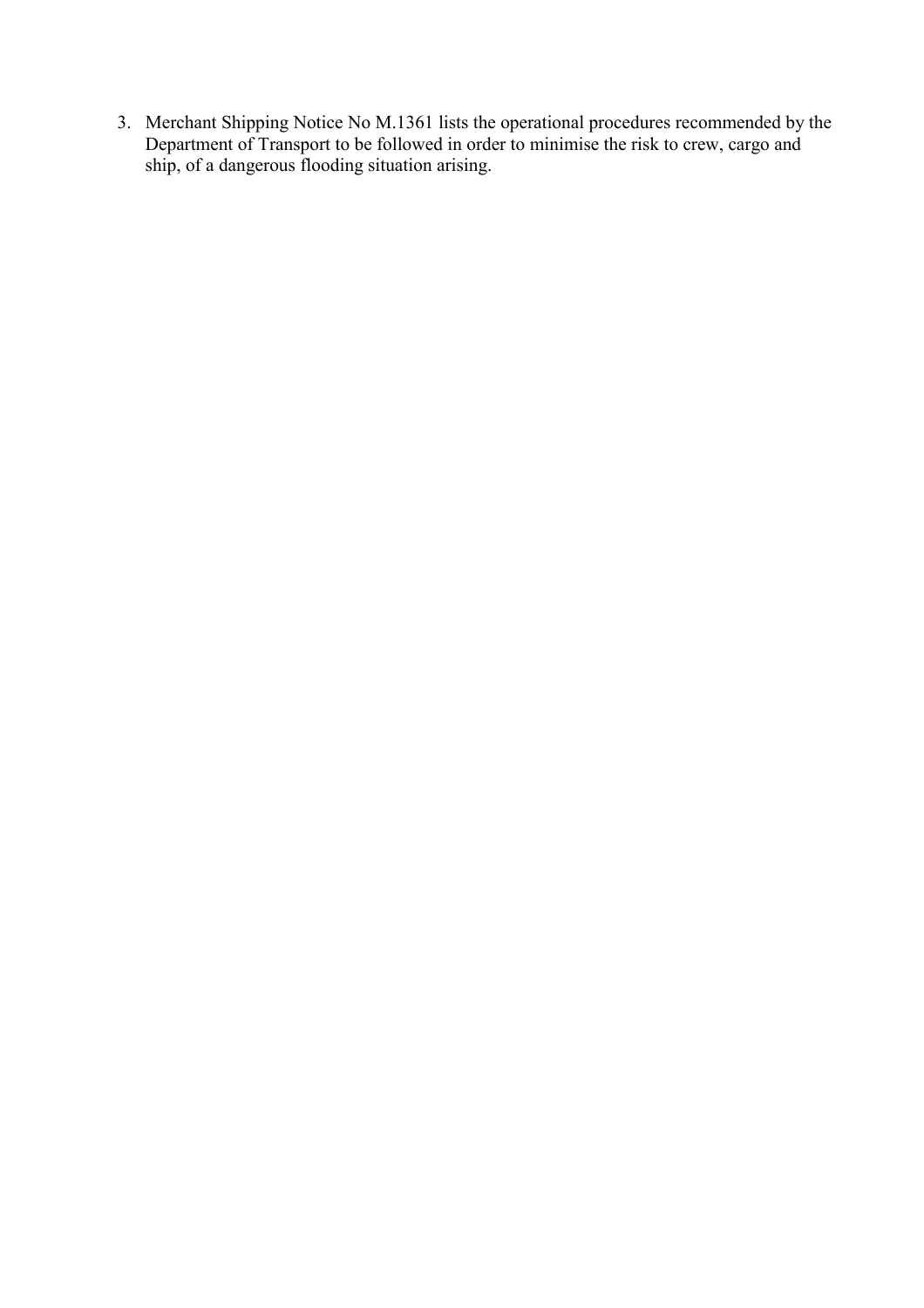3. Merchant Shipping Notice No M.1361 lists the operational procedures recommended by the Department of Transport to be followed in order to minimise the risk to crew, cargo and ship, of a dangerous flooding situation arising.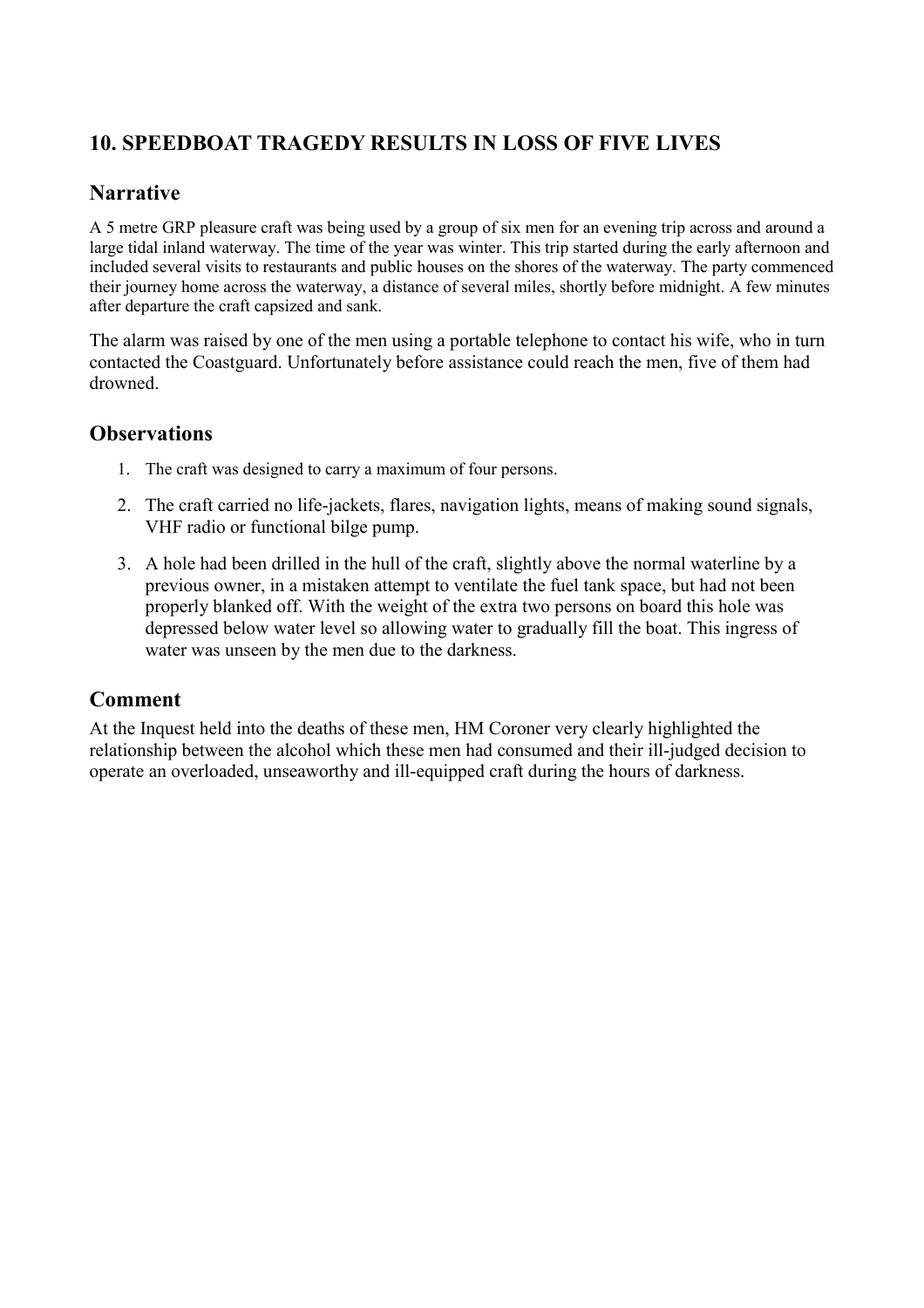## <span id="page-17-0"></span>**10. SPEEDBOAT TRAGEDY RESULTS IN LOSS OF FIVE LIVES**

#### **Narrative**

A 5 metre GRP pleasure craft was being used by a group of six men for an evening trip across and around a large tidal inland waterway. The time of the year was winter. This trip started during the early afternoon and included several visits to restaurants and public houses on the shores of the waterway. The party commenced their journey home across the waterway, a distance of several miles, shortly before midnight. A few minutes after departure the craft capsized and sank.

The alarm was raised by one of the men using a portable telephone to contact his wife, who in turn contacted the Coastguard. Unfortunately before assistance could reach the men, five of them had drowned.

#### **Observations**

- 1. The craft was designed to carry a maximum of four persons.
- 2. The craft carried no life-jackets, flares, navigation lights, means of making sound signals, VHF radio or functional bilge pump.
- 3. A hole had been drilled in the hull of the craft, slightly above the normal waterline by a previous owner, in a mistaken attempt to ventilate the fuel tank space, but had not been properly blanked off. With the weight of the extra two persons on board this hole was depressed below water level so allowing water to gradually fill the boat. This ingress of water was unseen by the men due to the darkness.

#### **Comment**

At the Inquest held into the deaths of these men, HM Coroner very clearly highlighted the relationship between the alcohol which these men had consumed and their ill-judged decision to operate an overloaded, unseaworthy and ill-equipped craft during the hours of darkness.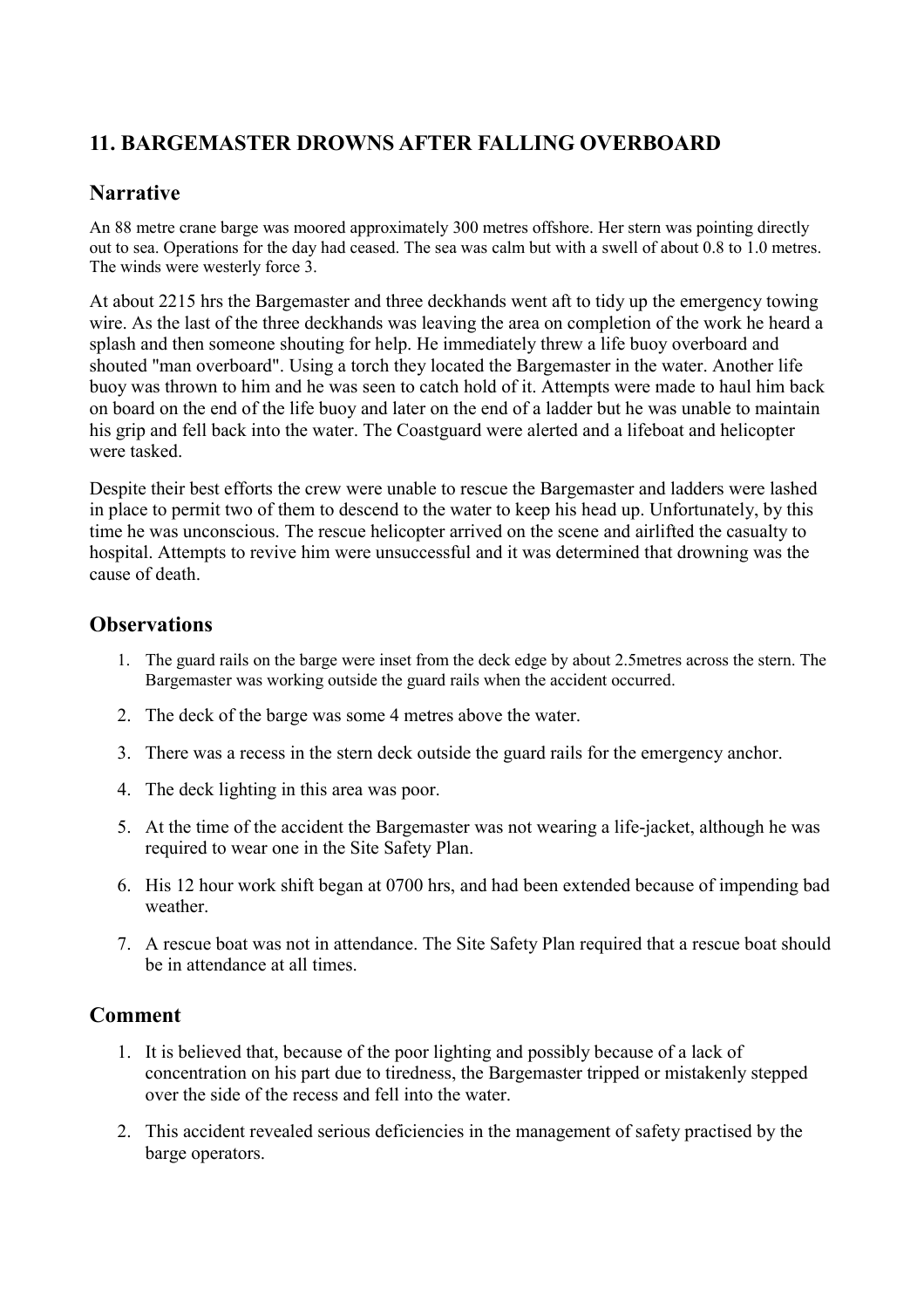## <span id="page-18-0"></span>**11. BARGEMASTER DROWNS AFTER FALLING OVERBOARD**

#### **Narrative**

An 88 metre crane barge was moored approximately 300 metres offshore. Her stern was pointing directly out to sea. Operations for the day had ceased. The sea was calm but with a swell of about 0.8 to 1.0 metres. The winds were westerly force 3.

At about 2215 hrs the Bargemaster and three deckhands went aft to tidy up the emergency towing wire. As the last of the three deckhands was leaving the area on completion of the work he heard a splash and then someone shouting for help. He immediately threw a life buoy overboard and shouted "man overboard". Using a torch they located the Bargemaster in the water. Another life buoy was thrown to him and he was seen to catch hold of it. Attempts were made to haul him back on board on the end of the life buoy and later on the end of a ladder but he was unable to maintain his grip and fell back into the water. The Coastguard were alerted and a lifeboat and helicopter were tasked.

Despite their best efforts the crew were unable to rescue the Bargemaster and ladders were lashed in place to permit two of them to descend to the water to keep his head up. Unfortunately, by this time he was unconscious. The rescue helicopter arrived on the scene and airlifted the casualty to hospital. Attempts to revive him were unsuccessful and it was determined that drowning was the cause of death.

#### **Observations**

- 1. The guard rails on the barge were inset from the deck edge by about 2.5metres across the stern. The Bargemaster was working outside the guard rails when the accident occurred.
- 2. The deck of the barge was some 4 metres above the water.
- 3. There was a recess in the stern deck outside the guard rails for the emergency anchor.
- 4. The deck lighting in this area was poor.
- 5. At the time of the accident the Bargemaster was not wearing a life-jacket, although he was required to wear one in the Site Safety Plan.
- 6. His 12 hour work shift began at 0700 hrs, and had been extended because of impending bad weather.
- 7. A rescue boat was not in attendance. The Site Safety Plan required that a rescue boat should be in attendance at all times.

- 1. It is believed that, because of the poor lighting and possibly because of a lack of concentration on his part due to tiredness, the Bargemaster tripped or mistakenly stepped over the side of the recess and fell into the water.
- 2. This accident revealed serious deficiencies in the management of safety practised by the barge operators.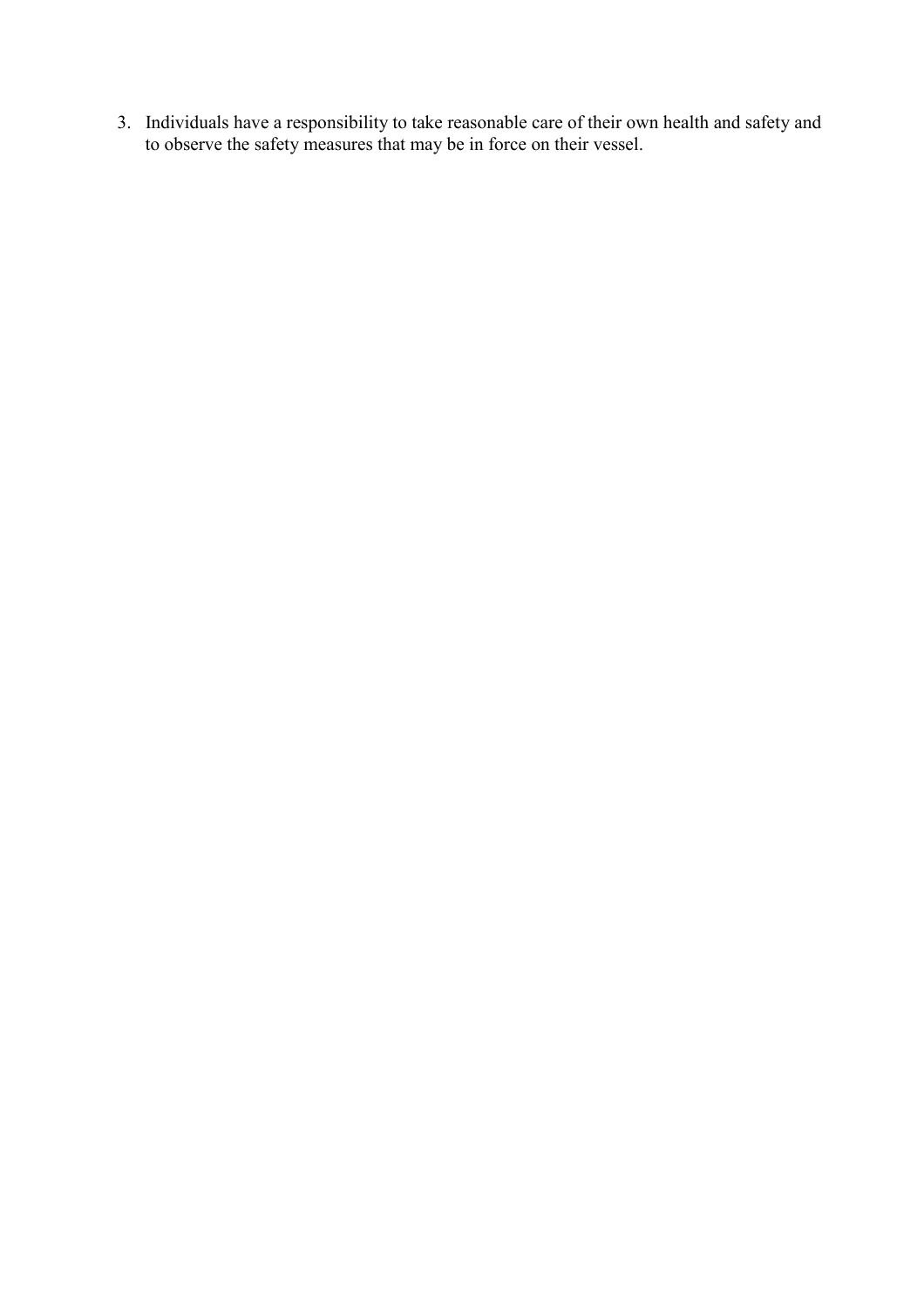3. Individuals have a responsibility to take reasonable care of their own health and safety and to observe the safety measures that may be in force on their vessel.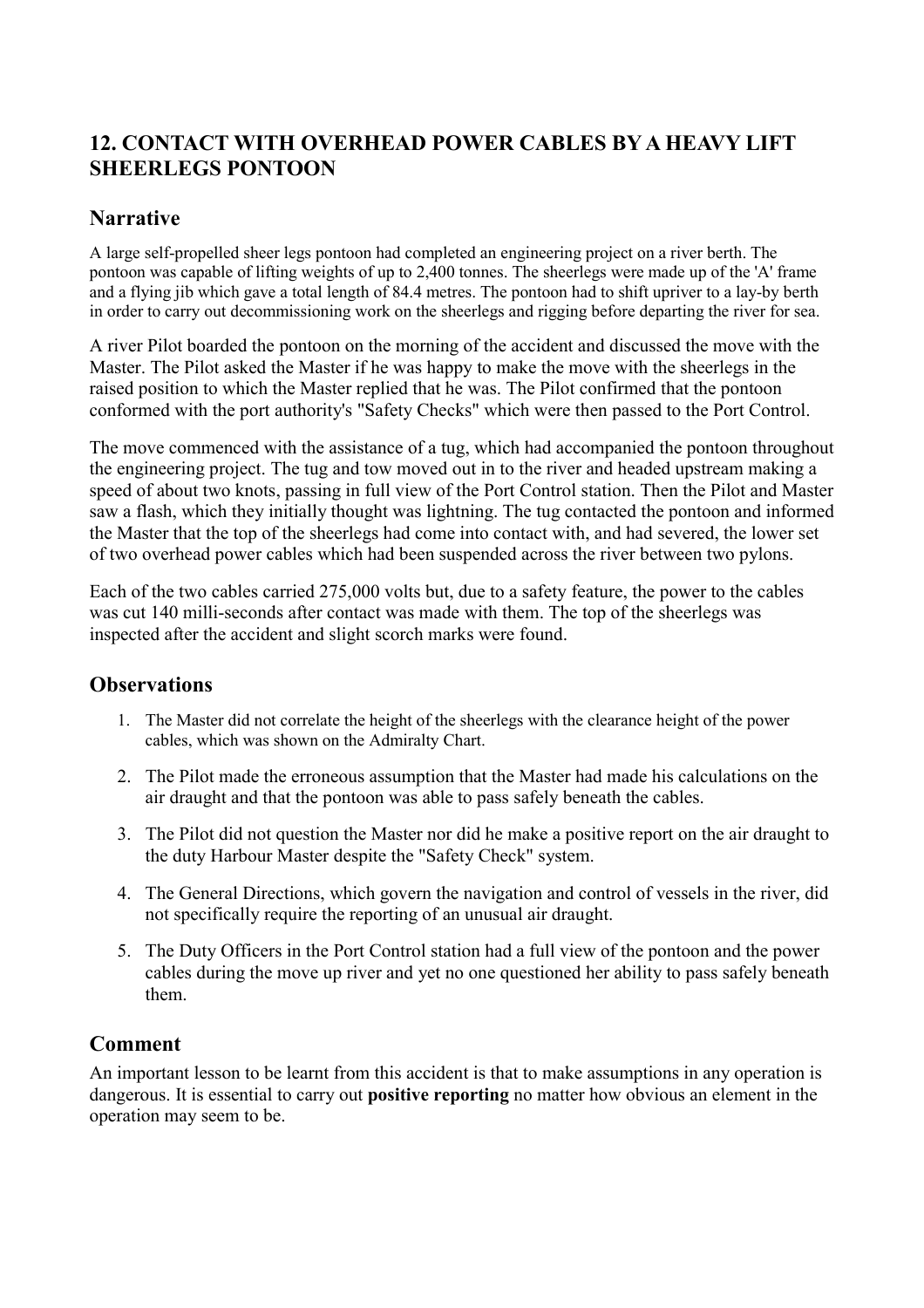## <span id="page-20-0"></span>**12. CONTACT WITH OVERHEAD POWER CABLES BY A HEAVY LIFT SHEERLEGS PONTOON**

### **Narrative**

A large self-propelled sheer legs pontoon had completed an engineering project on a river berth. The pontoon was capable of lifting weights of up to 2,400 tonnes. The sheerlegs were made up of the 'A' frame and a flying jib which gave a total length of 84.4 metres. The pontoon had to shift upriver to a lay-by berth in order to carry out decommissioning work on the sheerlegs and rigging before departing the river for sea.

A river Pilot boarded the pontoon on the morning of the accident and discussed the move with the Master. The Pilot asked the Master if he was happy to make the move with the sheerlegs in the raised position to which the Master replied that he was. The Pilot confirmed that the pontoon conformed with the port authority's "Safety Checks" which were then passed to the Port Control.

The move commenced with the assistance of a tug, which had accompanied the pontoon throughout the engineering project. The tug and tow moved out in to the river and headed upstream making a speed of about two knots, passing in full view of the Port Control station. Then the Pilot and Master saw a flash, which they initially thought was lightning. The tug contacted the pontoon and informed the Master that the top of the sheerlegs had come into contact with, and had severed, the lower set of two overhead power cables which had been suspended across the river between two pylons.

Each of the two cables carried 275,000 volts but, due to a safety feature, the power to the cables was cut 140 milli-seconds after contact was made with them. The top of the sheerlegs was inspected after the accident and slight scorch marks were found.

### **Observations**

- 1. The Master did not correlate the height of the sheerlegs with the clearance height of the power cables, which was shown on the Admiralty Chart.
- 2. The Pilot made the erroneous assumption that the Master had made his calculations on the air draught and that the pontoon was able to pass safely beneath the cables.
- 3. The Pilot did not question the Master nor did he make a positive report on the air draught to the duty Harbour Master despite the "Safety Check" system.
- 4. The General Directions, which govern the navigation and control of vessels in the river, did not specifically require the reporting of an unusual air draught.
- 5. The Duty Officers in the Port Control station had a full view of the pontoon and the power cables during the move up river and yet no one questioned her ability to pass safely beneath them.

### **Comment**

An important lesson to be learnt from this accident is that to make assumptions in any operation is dangerous. It is essential to carry out **positive reporting** no matter how obvious an element in the operation may seem to be.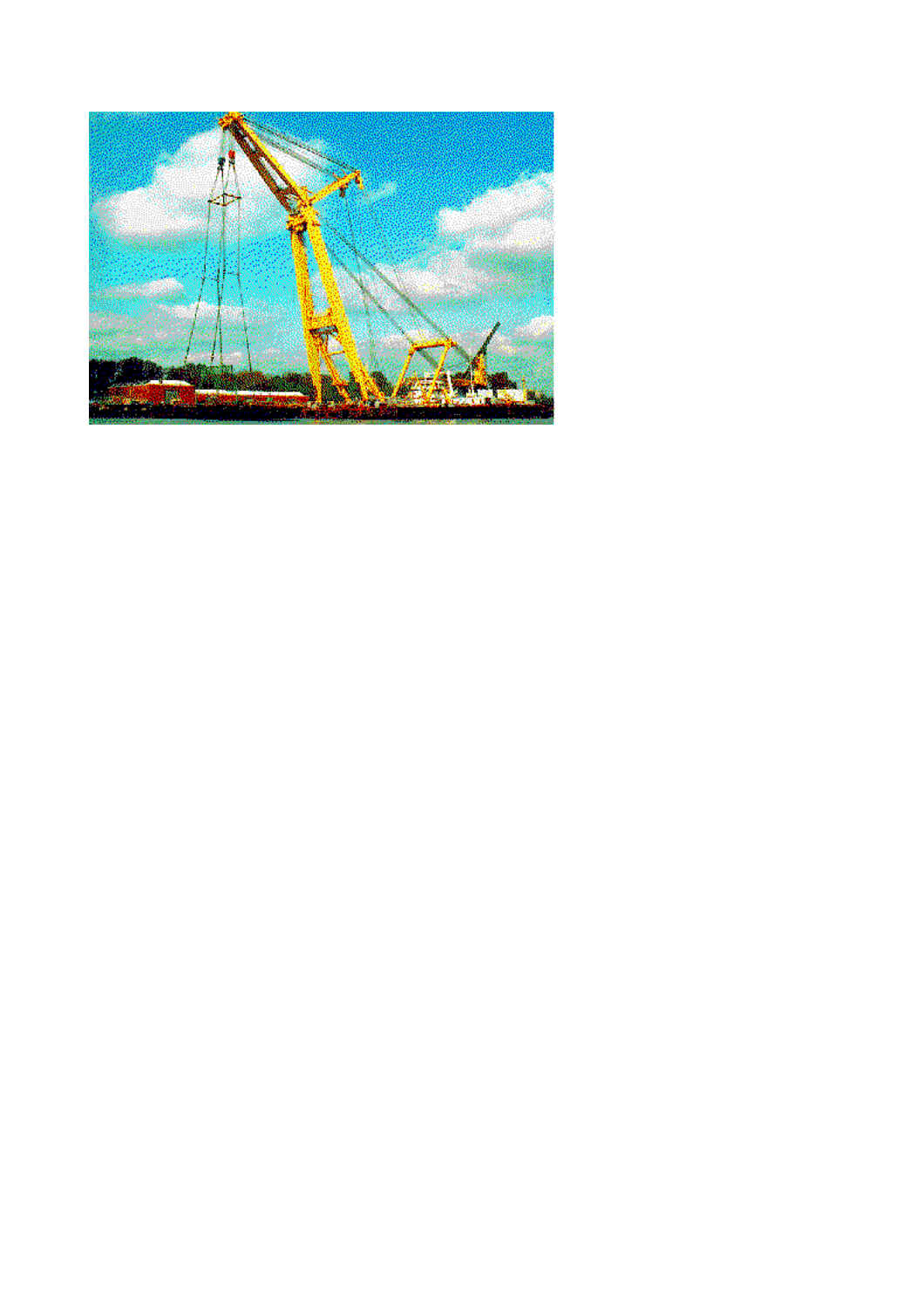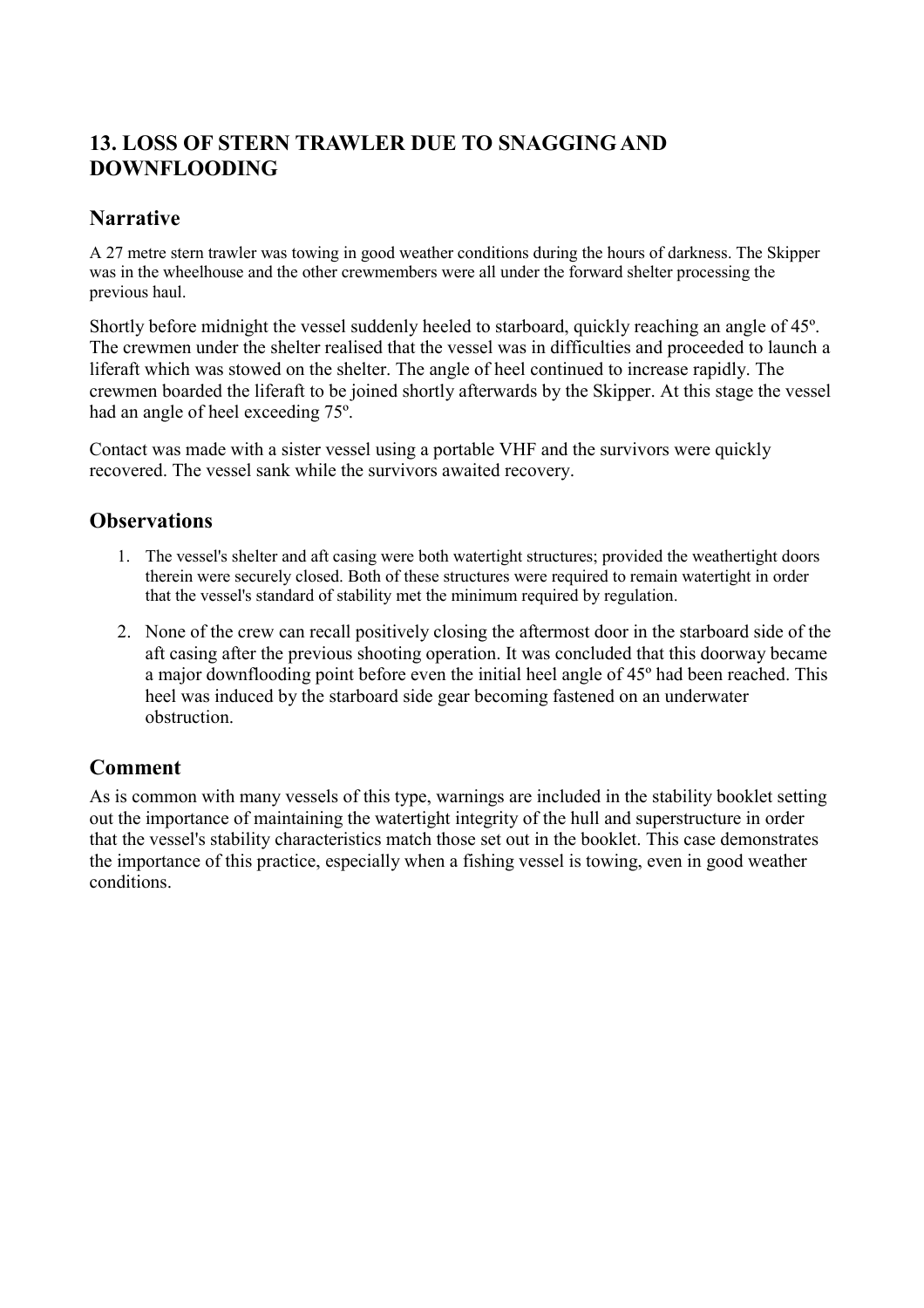## <span id="page-22-0"></span>**13. LOSS OF STERN TRAWLER DUE TO SNAGGING AND DOWNFLOODING**

### **Narrative**

A 27 metre stern trawler was towing in good weather conditions during the hours of darkness. The Skipper was in the wheelhouse and the other crewmembers were all under the forward shelter processing the previous haul.

Shortly before midnight the vessel suddenly heeled to starboard, quickly reaching an angle of 45º. The crewmen under the shelter realised that the vessel was in difficulties and proceeded to launch a liferaft which was stowed on the shelter. The angle of heel continued to increase rapidly. The crewmen boarded the liferaft to be joined shortly afterwards by the Skipper. At this stage the vessel had an angle of heel exceeding 75º.

Contact was made with a sister vessel using a portable VHF and the survivors were quickly recovered. The vessel sank while the survivors awaited recovery.

### **Observations**

- 1. The vessel's shelter and aft casing were both watertight structures; provided the weathertight doors therein were securely closed. Both of these structures were required to remain watertight in order that the vessel's standard of stability met the minimum required by regulation.
- 2. None of the crew can recall positively closing the aftermost door in the starboard side of the aft casing after the previous shooting operation. It was concluded that this doorway became a major downflooding point before even the initial heel angle of 45º had been reached. This heel was induced by the starboard side gear becoming fastened on an underwater obstruction.

### **Comment**

As is common with many vessels of this type, warnings are included in the stability booklet setting out the importance of maintaining the watertight integrity of the hull and superstructure in order that the vessel's stability characteristics match those set out in the booklet. This case demonstrates the importance of this practice, especially when a fishing vessel is towing, even in good weather conditions.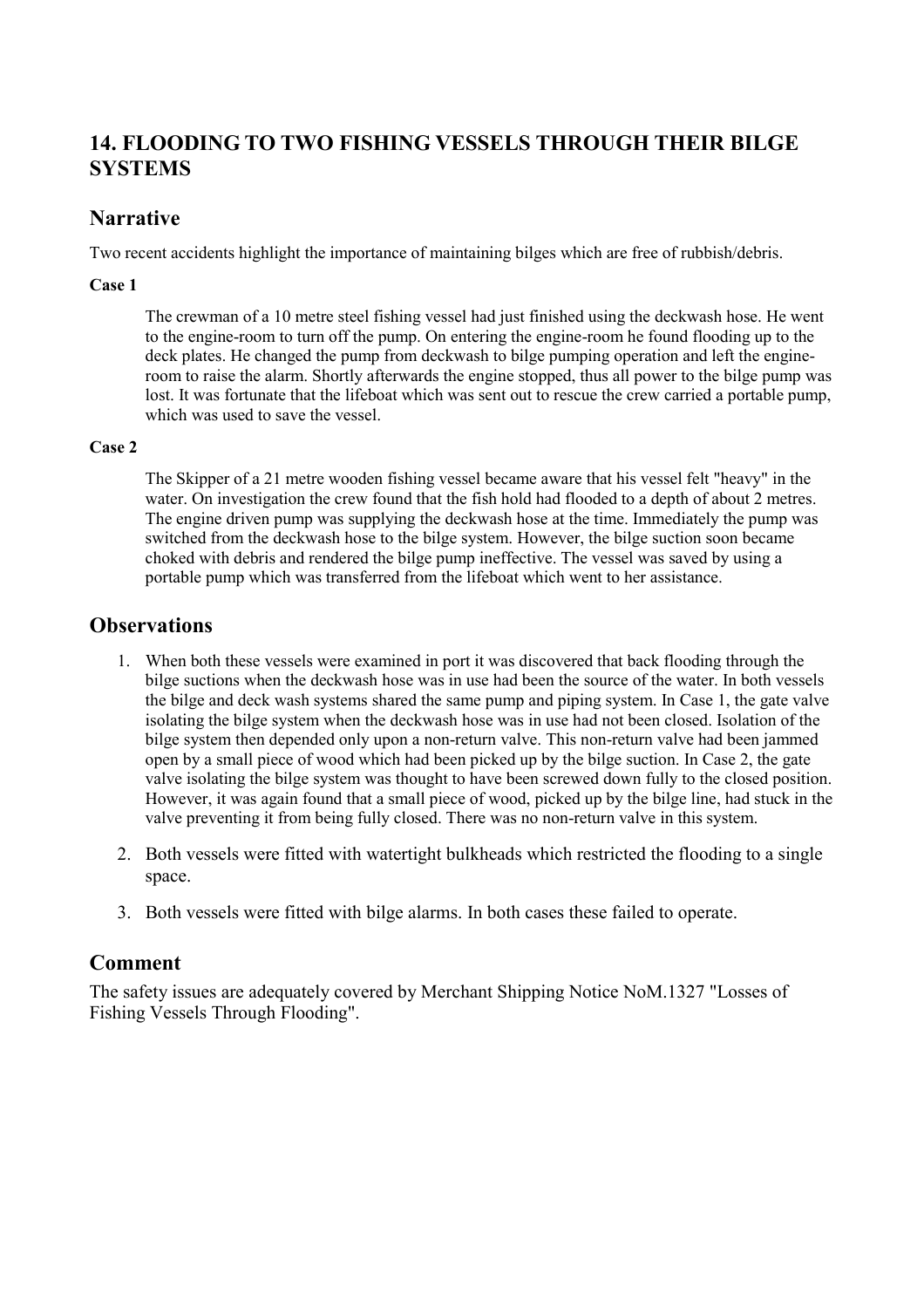## <span id="page-23-0"></span>**14. FLOODING TO TWO FISHING VESSELS THROUGH THEIR BILGE SYSTEMS**

#### **Narrative**

Two recent accidents highlight the importance of maintaining bilges which are free of rubbish/debris.

#### **Case 1**

The crewman of a 10 metre steel fishing vessel had just finished using the deckwash hose. He went to the engine-room to turn off the pump. On entering the engine-room he found flooding up to the deck plates. He changed the pump from deckwash to bilge pumping operation and left the engineroom to raise the alarm. Shortly afterwards the engine stopped, thus all power to the bilge pump was lost. It was fortunate that the lifeboat which was sent out to rescue the crew carried a portable pump, which was used to save the vessel.

#### **Case 2**

The Skipper of a 21 metre wooden fishing vessel became aware that his vessel felt "heavy" in the water. On investigation the crew found that the fish hold had flooded to a depth of about 2 metres. The engine driven pump was supplying the deckwash hose at the time. Immediately the pump was switched from the deckwash hose to the bilge system. However, the bilge suction soon became choked with debris and rendered the bilge pump ineffective. The vessel was saved by using a portable pump which was transferred from the lifeboat which went to her assistance.

#### **Observations**

- 1. When both these vessels were examined in port it was discovered that back flooding through the bilge suctions when the deckwash hose was in use had been the source of the water. In both vessels the bilge and deck wash systems shared the same pump and piping system. In Case 1, the gate valve isolating the bilge system when the deckwash hose was in use had not been closed. Isolation of the bilge system then depended only upon a non-return valve. This non-return valve had been jammed open by a small piece of wood which had been picked up by the bilge suction. In Case 2, the gate valve isolating the bilge system was thought to have been screwed down fully to the closed position. However, it was again found that a small piece of wood, picked up by the bilge line, had stuck in the valve preventing it from being fully closed. There was no non-return valve in this system.
- 2. Both vessels were fitted with watertight bulkheads which restricted the flooding to a single space.
- 3. Both vessels were fitted with bilge alarms. In both cases these failed to operate.

#### **Comment**

The safety issues are adequately covered by Merchant Shipping Notice NoM.1327 "Losses of Fishing Vessels Through Flooding".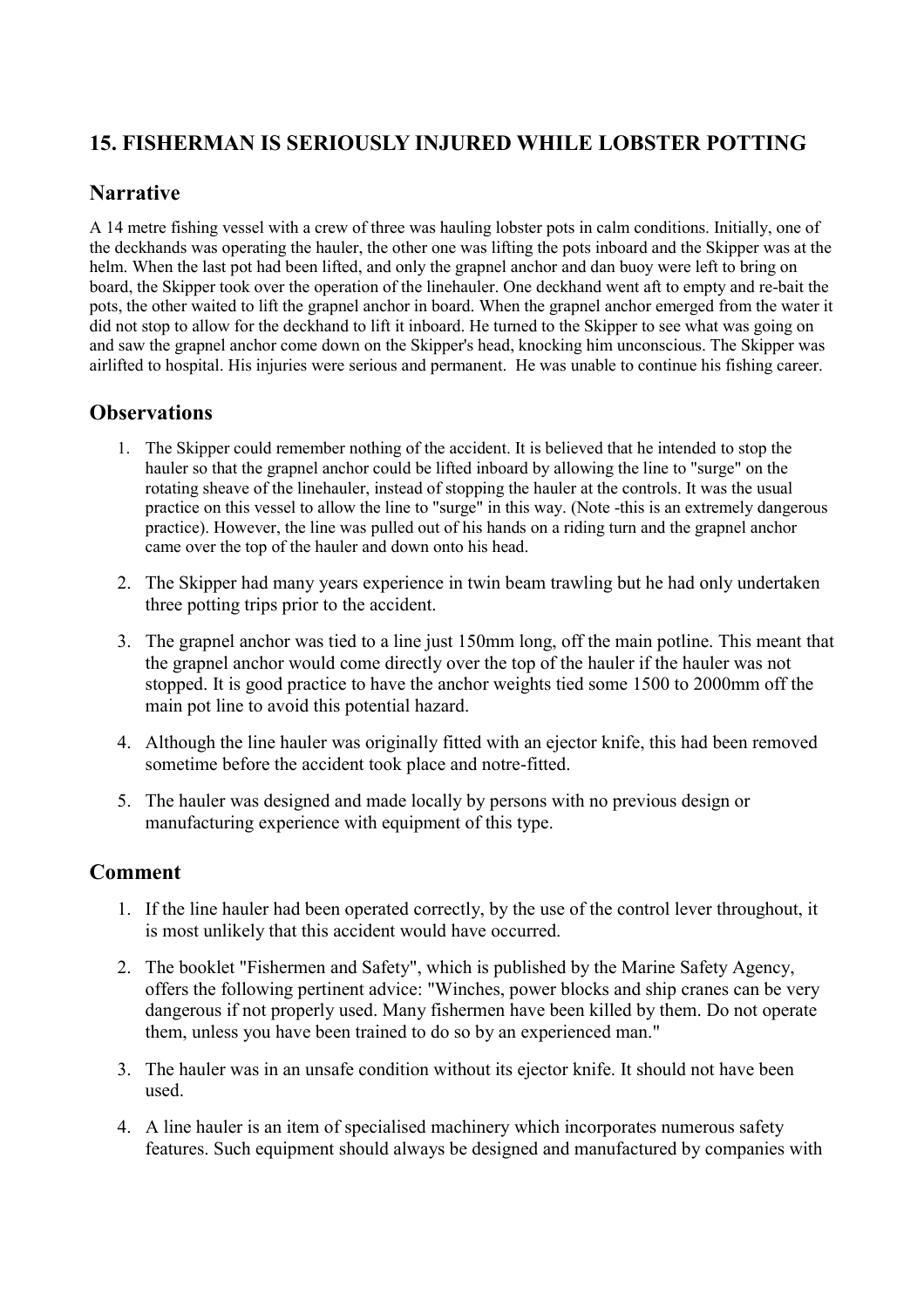## <span id="page-24-0"></span>**15. FISHERMAN IS SERIOUSLY INJURED WHILE LOBSTER POTTING**

### **Narrative**

A 14 metre fishing vessel with a crew of three was hauling lobster pots in calm conditions. Initially, one of the deckhands was operating the hauler, the other one was lifting the pots inboard and the Skipper was at the helm. When the last pot had been lifted, and only the grapnel anchor and dan buoy were left to bring on board, the Skipper took over the operation of the linehauler. One deckhand went aft to empty and re-bait the pots, the other waited to lift the grapnel anchor in board. When the grapnel anchor emerged from the water it did not stop to allow for the deckhand to lift it inboard. He turned to the Skipper to see what was going on and saw the grapnel anchor come down on the Skipper's head, knocking him unconscious. The Skipper was airlifted to hospital. His injuries were serious and permanent. He was unable to continue his fishing career.

### **Observations**

- 1. The Skipper could remember nothing of the accident. It is believed that he intended to stop the hauler so that the grapnel anchor could be lifted inboard by allowing the line to "surge" on the rotating sheave of the linehauler, instead of stopping the hauler at the controls. It was the usual practice on this vessel to allow the line to "surge" in this way. (Note -this is an extremely dangerous practice). However, the line was pulled out of his hands on a riding turn and the grapnel anchor came over the top of the hauler and down onto his head.
- 2. The Skipper had many years experience in twin beam trawling but he had only undertaken three potting trips prior to the accident.
- 3. The grapnel anchor was tied to a line just 150mm long, off the main potline. This meant that the grapnel anchor would come directly over the top of the hauler if the hauler was not stopped. It is good practice to have the anchor weights tied some 1500 to 2000mm off the main pot line to avoid this potential hazard.
- 4. Although the line hauler was originally fitted with an ejector knife, this had been removed sometime before the accident took place and notre-fitted.
- 5. The hauler was designed and made locally by persons with no previous design or manufacturing experience with equipment of this type.

- 1. If the line hauler had been operated correctly, by the use of the control lever throughout, it is most unlikely that this accident would have occurred.
- 2. The booklet "Fishermen and Safety", which is published by the Marine Safety Agency, offers the following pertinent advice: "Winches, power blocks and ship cranes can be very dangerous if not properly used. Many fishermen have been killed by them. Do not operate them, unless you have been trained to do so by an experienced man."
- 3. The hauler was in an unsafe condition without its ejector knife. It should not have been used.
- 4. A line hauler is an item of specialised machinery which incorporates numerous safety features. Such equipment should always be designed and manufactured by companies with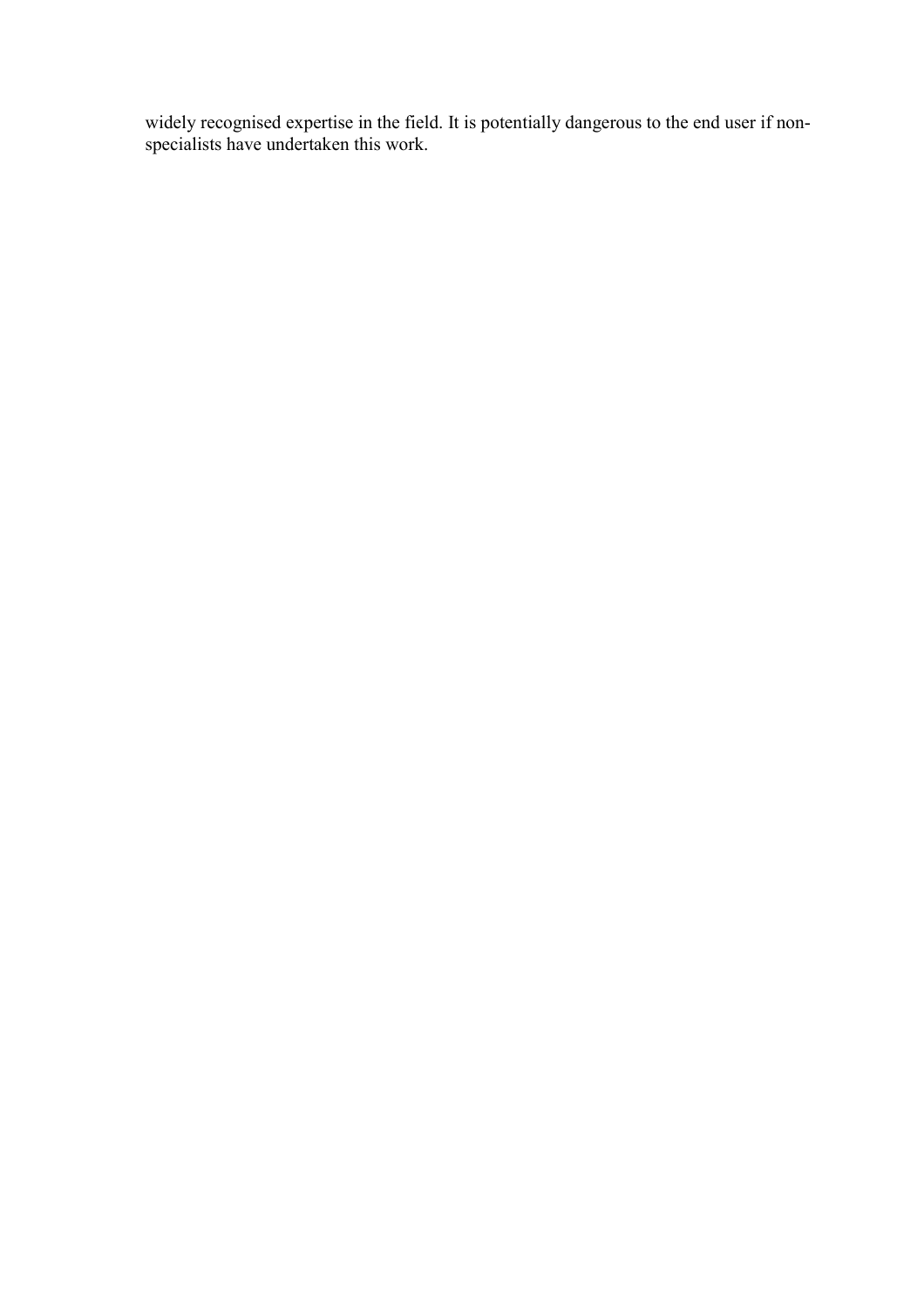widely recognised expertise in the field. It is potentially dangerous to the end user if nonspecialists have undertaken this work.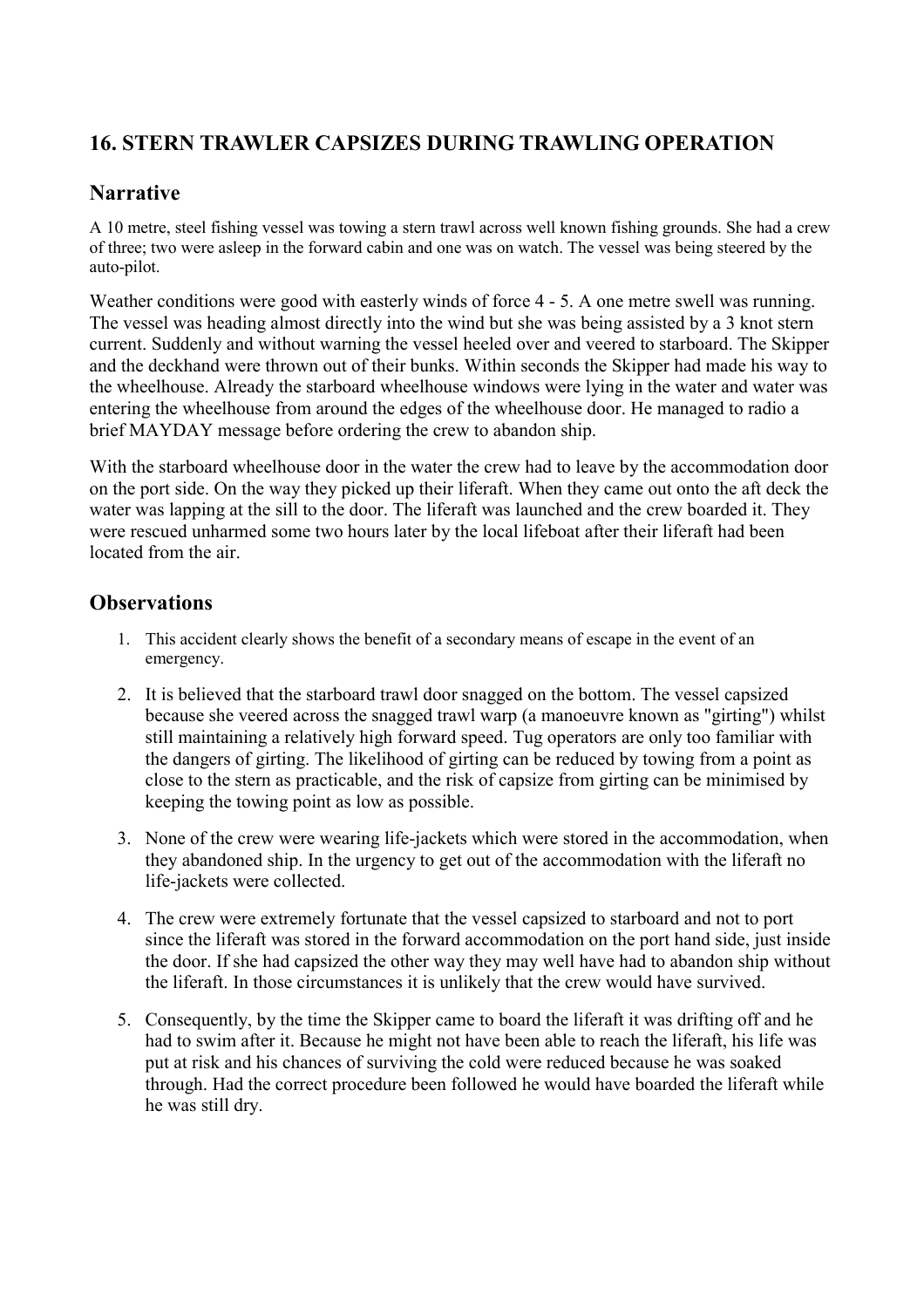## <span id="page-26-0"></span>**16. STERN TRAWLER CAPSIZES DURING TRAWLING OPERATION**

### **Narrative**

A 10 metre, steel fishing vessel was towing a stern trawl across well known fishing grounds. She had a crew of three; two were asleep in the forward cabin and one was on watch. The vessel was being steered by the auto-pilot.

Weather conditions were good with easterly winds of force 4 - 5. A one metre swell was running. The vessel was heading almost directly into the wind but she was being assisted by a 3 knot stern current. Suddenly and without warning the vessel heeled over and veered to starboard. The Skipper and the deckhand were thrown out of their bunks. Within seconds the Skipper had made his way to the wheelhouse. Already the starboard wheelhouse windows were lying in the water and water was entering the wheelhouse from around the edges of the wheelhouse door. He managed to radio a brief MAYDAY message before ordering the crew to abandon ship.

With the starboard wheelhouse door in the water the crew had to leave by the accommodation door on the port side. On the way they picked up their liferaft. When they came out onto the aft deck the water was lapping at the sill to the door. The liferaft was launched and the crew boarded it. They were rescued unharmed some two hours later by the local lifeboat after their liferaft had been located from the air.

#### **Observations**

- 1. This accident clearly shows the benefit of a secondary means of escape in the event of an emergency.
- 2. It is believed that the starboard trawl door snagged on the bottom. The vessel capsized because she veered across the snagged trawl warp (a manoeuvre known as "girting") whilst still maintaining a relatively high forward speed. Tug operators are only too familiar with the dangers of girting. The likelihood of girting can be reduced by towing from a point as close to the stern as practicable, and the risk of capsize from girting can be minimised by keeping the towing point as low as possible.
- 3. None of the crew were wearing life-jackets which were stored in the accommodation, when they abandoned ship. In the urgency to get out of the accommodation with the liferaft no life-jackets were collected.
- 4. The crew were extremely fortunate that the vessel capsized to starboard and not to port since the liferaft was stored in the forward accommodation on the port hand side, just inside the door. If she had capsized the other way they may well have had to abandon ship without the liferaft. In those circumstances it is unlikely that the crew would have survived.
- 5. Consequently, by the time the Skipper came to board the liferaft it was drifting off and he had to swim after it. Because he might not have been able to reach the liferaft, his life was put at risk and his chances of surviving the cold were reduced because he was soaked through. Had the correct procedure been followed he would have boarded the liferaft while he was still dry.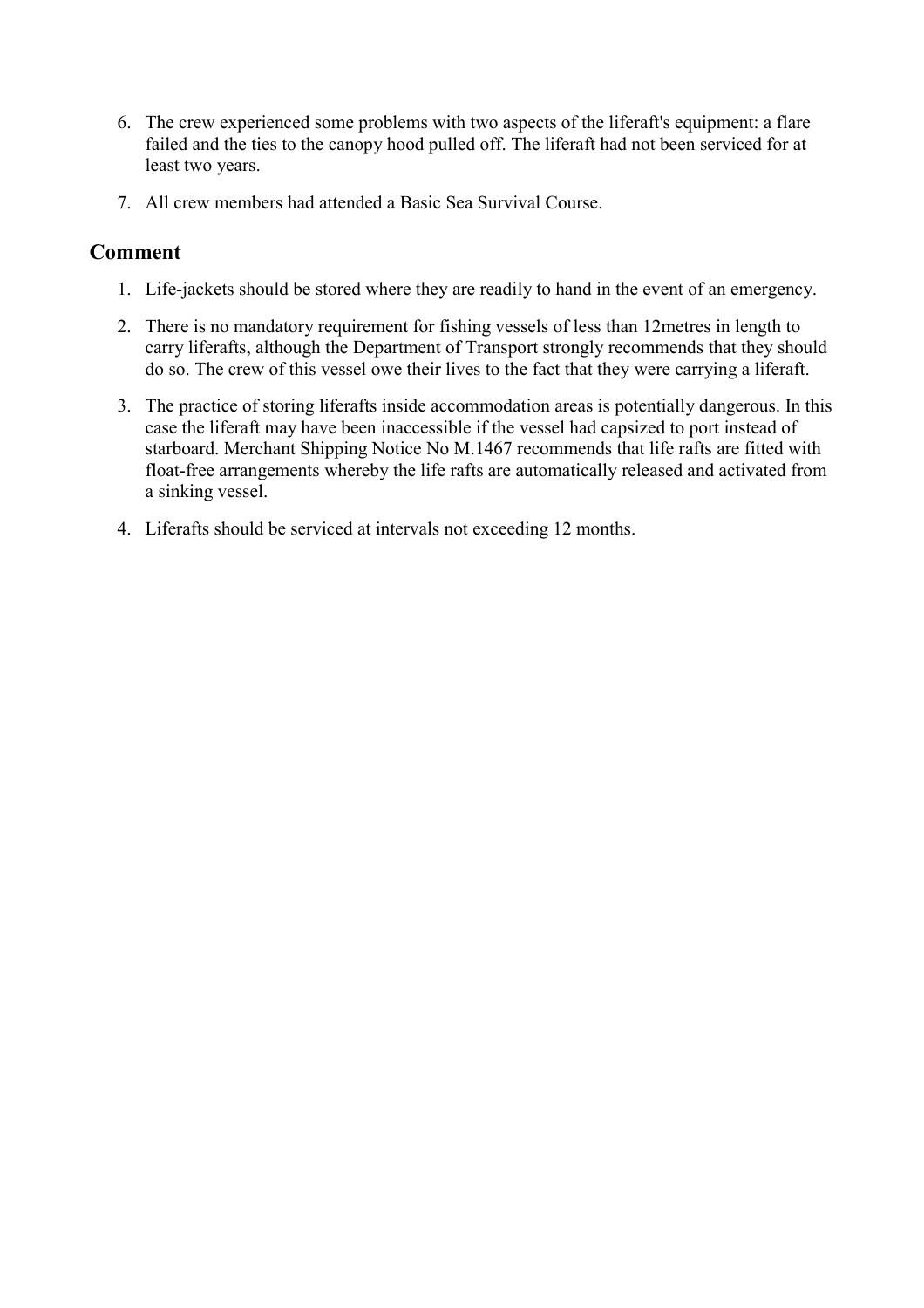- <span id="page-27-0"></span>6. The crew experienced some problems with two aspects of the liferaft's equipment: a flare failed and the ties to the canopy hood pulled off. The liferaft had not been serviced for at least two years.
- 7. All crew members had attended a Basic Sea Survival Course.

- 1. Life-jackets should be stored where they are readily to hand in the event of an emergency.
- 2. There is no mandatory requirement for fishing vessels of less than 12metres in length to carry liferafts, although the Department of Transport strongly recommends that they should do so. The crew of this vessel owe their lives to the fact that they were carrying a liferaft.
- 3. The practice of storing liferafts inside accommodation areas is potentially dangerous. In this case the liferaft may have been inaccessible if the vessel had capsized to port instead of starboard. Merchant Shipping Notice No M.1467 recommends that life rafts are fitted with float-free arrangements whereby the life rafts are automatically released and activated from a sinking vessel.
- 4. Liferafts should be serviced at intervals not exceeding 12 months.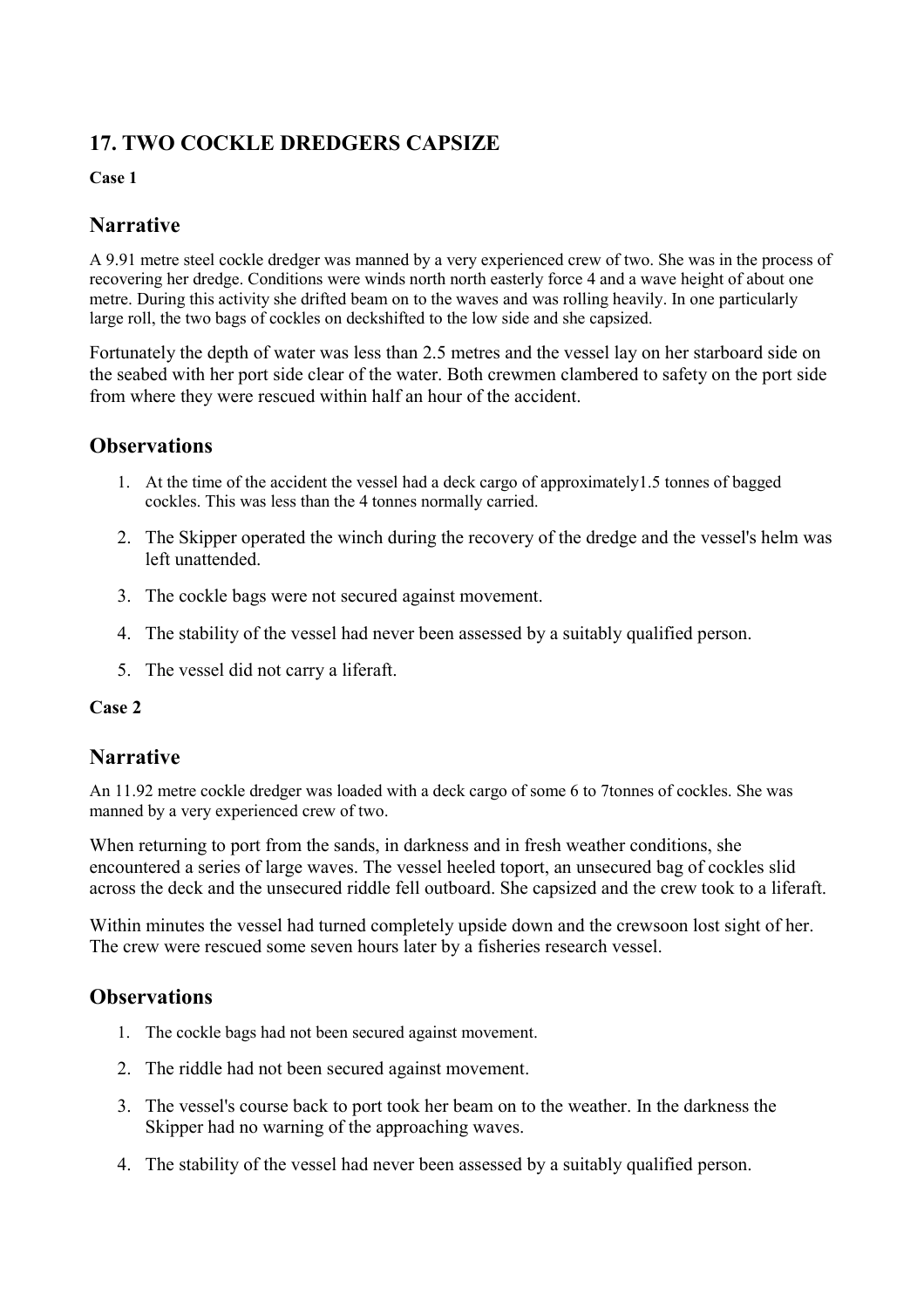## <span id="page-28-0"></span>**17. TWO COCKLE DREDGERS CAPSIZE**

#### **Case 1**

### **Narrative**

A 9.91 metre steel cockle dredger was manned by a very experienced crew of two. She was in the process of recovering her dredge. Conditions were winds north north easterly force 4 and a wave height of about one metre. During this activity she drifted beam on to the waves and was rolling heavily. In one particularly large roll, the two bags of cockles on deckshifted to the low side and she capsized.

Fortunately the depth of water was less than 2.5 metres and the vessel lay on her starboard side on the seabed with her port side clear of the water. Both crewmen clambered to safety on the port side from where they were rescued within half an hour of the accident.

### **Observations**

- 1. At the time of the accident the vessel had a deck cargo of approximately1.5 tonnes of bagged cockles. This was less than the 4 tonnes normally carried.
- 2. The Skipper operated the winch during the recovery of the dredge and the vessel's helm was left unattended.
- 3. The cockle bags were not secured against movement.
- 4. The stability of the vessel had never been assessed by a suitably qualified person.
- 5. The vessel did not carry a liferaft.

#### **Case 2**

#### **Narrative**

An 11.92 metre cockle dredger was loaded with a deck cargo of some 6 to 7tonnes of cockles. She was manned by a very experienced crew of two.

When returning to port from the sands, in darkness and in fresh weather conditions, she encountered a series of large waves. The vessel heeled toport, an unsecured bag of cockles slid across the deck and the unsecured riddle fell outboard. She capsized and the crew took to a liferaft.

Within minutes the vessel had turned completely upside down and the crewsoon lost sight of her. The crew were rescued some seven hours later by a fisheries research vessel.

#### **Observations**

- 1. The cockle bags had not been secured against movement.
- 2. The riddle had not been secured against movement.
- 3. The vessel's course back to port took her beam on to the weather. In the darkness the Skipper had no warning of the approaching waves.
- 4. The stability of the vessel had never been assessed by a suitably qualified person.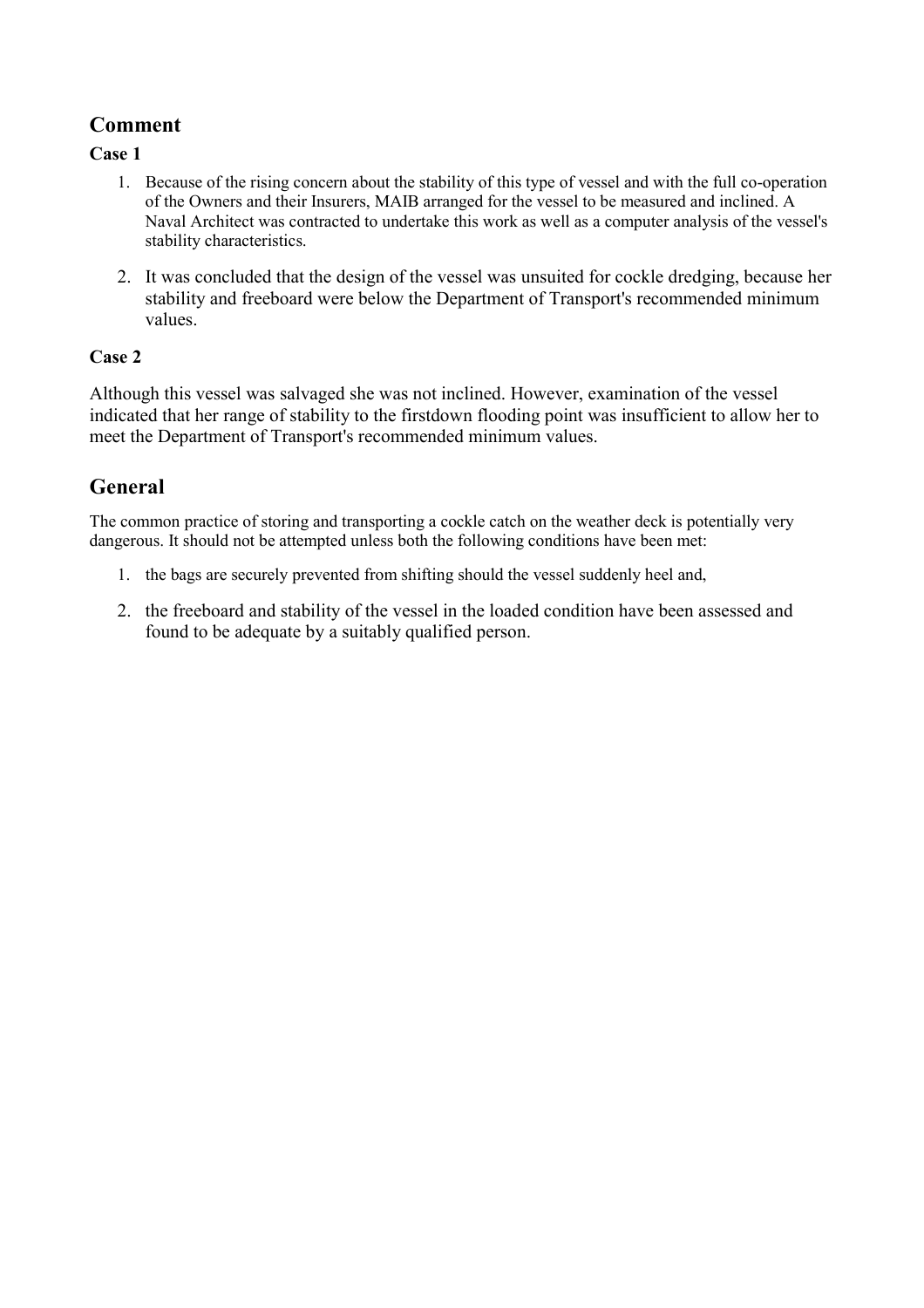### <span id="page-29-0"></span>**Comment**

**Case 1**

- 1. Because of the rising concern about the stability of this type of vessel and with the full co-operation of the Owners and their Insurers, MAIB arranged for the vessel to be measured and inclined. A Naval Architect was contracted to undertake this work as well as a computer analysis of the vessel's stability characteristics.
- 2. It was concluded that the design of the vessel was unsuited for cockle dredging, because her stability and freeboard were below the Department of Transport's recommended minimum values.

#### **Case 2**

Although this vessel was salvaged she was not inclined. However, examination of the vessel indicated that her range of stability to the firstdown flooding point was insufficient to allow her to meet the Department of Transport's recommended minimum values.

## **General**

The common practice of storing and transporting a cockle catch on the weather deck is potentially very dangerous. It should not be attempted unless both the following conditions have been met:

- 1. the bags are securely prevented from shifting should the vessel suddenly heel and,
- 2. the freeboard and stability of the vessel in the loaded condition have been assessed and found to be adequate by a suitably qualified person.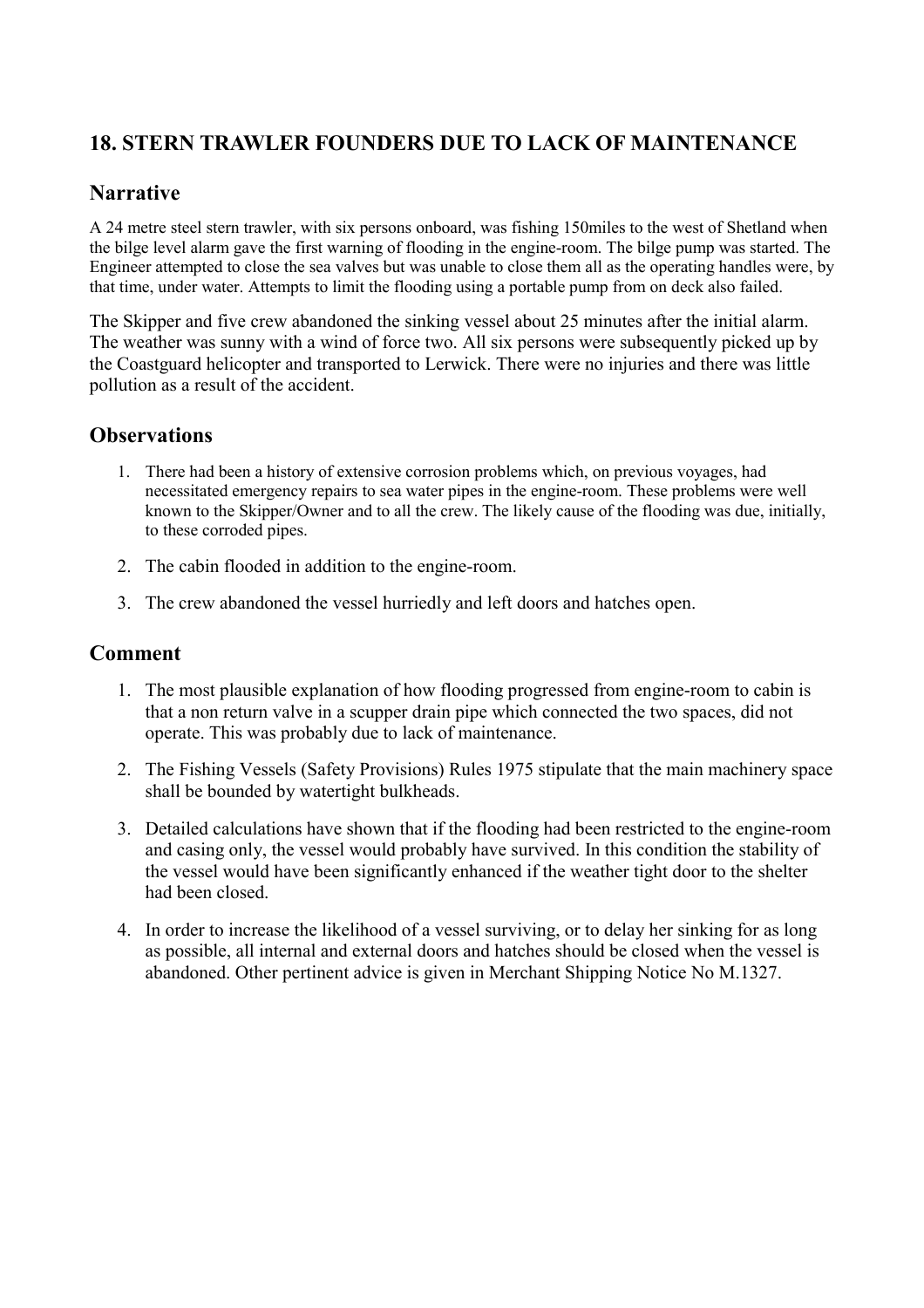## <span id="page-30-0"></span>**18. STERN TRAWLER FOUNDERS DUE TO LACK OF MAINTENANCE**

#### **Narrative**

A 24 metre steel stern trawler, with six persons onboard, was fishing 150miles to the west of Shetland when the bilge level alarm gave the first warning of flooding in the engine-room. The bilge pump was started. The Engineer attempted to close the sea valves but was unable to close them all as the operating handles were, by that time, under water. Attempts to limit the flooding using a portable pump from on deck also failed.

The Skipper and five crew abandoned the sinking vessel about 25 minutes after the initial alarm. The weather was sunny with a wind of force two. All six persons were subsequently picked up by the Coastguard helicopter and transported to Lerwick. There were no injuries and there was little pollution as a result of the accident.

#### **Observations**

- 1. There had been a history of extensive corrosion problems which, on previous voyages, had necessitated emergency repairs to sea water pipes in the engine-room. These problems were well known to the Skipper/Owner and to all the crew. The likely cause of the flooding was due, initially, to these corroded pipes.
- 2. The cabin flooded in addition to the engine-room.
- 3. The crew abandoned the vessel hurriedly and left doors and hatches open.

- 1. The most plausible explanation of how flooding progressed from engine-room to cabin is that a non return valve in a scupper drain pipe which connected the two spaces, did not operate. This was probably due to lack of maintenance.
- 2. The Fishing Vessels (Safety Provisions) Rules 1975 stipulate that the main machinery space shall be bounded by watertight bulkheads.
- 3. Detailed calculations have shown that if the flooding had been restricted to the engine-room and casing only, the vessel would probably have survived. In this condition the stability of the vessel would have been significantly enhanced if the weather tight door to the shelter had been closed.
- 4. In order to increase the likelihood of a vessel surviving, or to delay her sinking for as long as possible, all internal and external doors and hatches should be closed when the vessel is abandoned. Other pertinent advice is given in Merchant Shipping Notice No M.1327.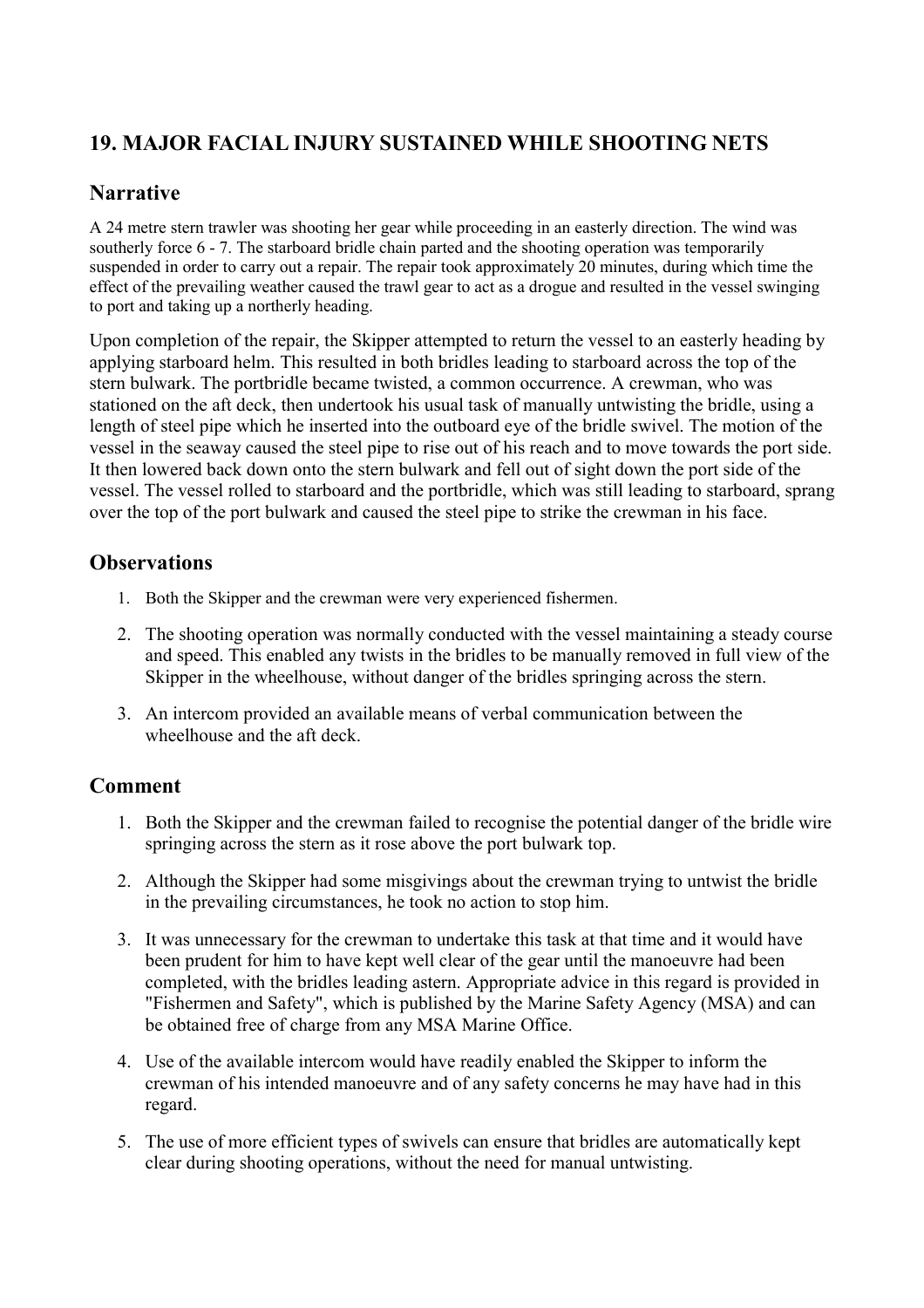## <span id="page-31-0"></span>**19. MAJOR FACIAL INJURY SUSTAINED WHILE SHOOTING NETS**

### **Narrative**

A 24 metre stern trawler was shooting her gear while proceeding in an easterly direction. The wind was southerly force 6 - 7. The starboard bridle chain parted and the shooting operation was temporarily suspended in order to carry out a repair. The repair took approximately 20 minutes, during which time the effect of the prevailing weather caused the trawl gear to act as a drogue and resulted in the vessel swinging to port and taking up a northerly heading.

Upon completion of the repair, the Skipper attempted to return the vessel to an easterly heading by applying starboard helm. This resulted in both bridles leading to starboard across the top of the stern bulwark. The portbridle became twisted, a common occurrence. A crewman, who was stationed on the aft deck, then undertook his usual task of manually untwisting the bridle, using a length of steel pipe which he inserted into the outboard eye of the bridle swivel. The motion of the vessel in the seaway caused the steel pipe to rise out of his reach and to move towards the port side. It then lowered back down onto the stern bulwark and fell out of sight down the port side of the vessel. The vessel rolled to starboard and the portbridle, which was still leading to starboard, sprang over the top of the port bulwark and caused the steel pipe to strike the crewman in his face.

### **Observations**

- 1. Both the Skipper and the crewman were very experienced fishermen.
- 2. The shooting operation was normally conducted with the vessel maintaining a steady course and speed. This enabled any twists in the bridles to be manually removed in full view of the Skipper in the wheelhouse, without danger of the bridles springing across the stern.
- 3. An intercom provided an available means of verbal communication between the wheelhouse and the aft deck.

- 1. Both the Skipper and the crewman failed to recognise the potential danger of the bridle wire springing across the stern as it rose above the port bulwark top.
- 2. Although the Skipper had some misgivings about the crewman trying to untwist the bridle in the prevailing circumstances, he took no action to stop him.
- 3. It was unnecessary for the crewman to undertake this task at that time and it would have been prudent for him to have kept well clear of the gear until the manoeuvre had been completed, with the bridles leading astern. Appropriate advice in this regard is provided in "Fishermen and Safety", which is published by the Marine Safety Agency (MSA) and can be obtained free of charge from any MSA Marine Office.
- 4. Use of the available intercom would have readily enabled the Skipper to inform the crewman of his intended manoeuvre and of any safety concerns he may have had in this regard.
- 5. The use of more efficient types of swivels can ensure that bridles are automatically kept clear during shooting operations, without the need for manual untwisting.